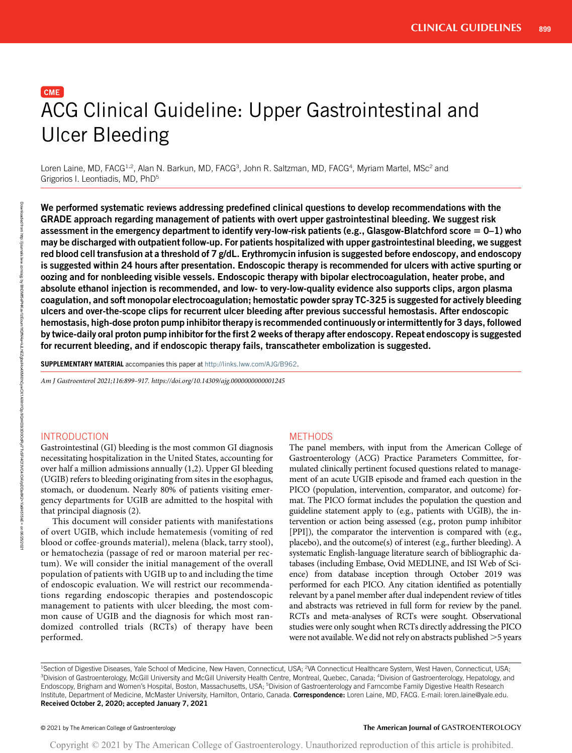# **CME** ACG Clinical Guideline: Upper Gastrointestinal and Ulcer Bleeding

Loren Laine, MD, FACG<sup>1,2</sup>, Alan N. Barkun, MD, FACG<sup>3</sup>, John R. Saltzman, MD, FACG<sup>4</sup>, Myriam Martel, MSc<sup>2</sup> and Grigorios I. Leontiadis, MD, PhD5

We performed systematic reviews addressing predefined clinical questions to develop recommendations with the GRADE approach regarding management of patients with overt upper gastrointestinal bleeding. We suggest risk assessment in the emergency department to identify very-low-risk patients (e.g., Glasgow-Blatchford score  $= 0 - 1$ ) who may be discharged with outpatient follow-up. For patients hospitalized with upper gastrointestinal bleeding, we suggest red blood cell transfusion at a threshold of 7 g/dL. Erythromycin infusion is suggested before endoscopy, and endoscopy is suggested within 24 hours after presentation. Endoscopic therapy is recommended for ulcers with active spurting or oozing and for nonbleeding visible vessels. Endoscopic therapy with bipolar electrocoagulation, heater probe, and absolute ethanol injection is recommended, and low- to very-low-quality evidence also supports clips, argon plasma coagulation, and soft monopolar electrocoagulation; hemostatic powder spray TC-325 is suggested for actively bleeding ulcers and over-the-scope clips for recurrent ulcer bleeding after previous successful hemostasis. After endoscopic hemostasis, high-dose proton pump inhibitor therapy is recommended continuously or intermittently for 3 days, followed by twice-daily oral proton pump inhibitor for the first 2 weeks of therapy after endoscopy. Repeat endoscopy is suggested for recurrent bleeding, and if endoscopic therapy fails, transcatheter embolization is suggested.

SUPPLEMENTARY MATERIAL accompanies this paper at <http://links.lww.com/AJG/B962>.

Am J Gastroenterol 2021;116:899–917.<https://doi.org/10.14309/ajg.0000000000001245>

# INTRODUCTION

Gastrointestinal (GI) bleeding is the most common GI diagnosis necessitating hospitalization in the United States, accounting for over half a million admissions annually (1,2). Upper GI bleeding (UGIB) refers to bleeding originating from sites in the esophagus, stomach, or duodenum. Nearly 80% of patients visiting emergency departments for UGIB are admitted to the hospital with that principal diagnosis (2).

This document will consider patients with manifestations of overt UGIB, which include hematemesis (vomiting of red blood or coffee-grounds material), melena (black, tarry stool), or hematochezia (passage of red or maroon material per rectum). We will consider the initial management of the overall population of patients with UGIB up to and including the time of endoscopic evaluation. We will restrict our recommendations regarding endoscopic therapies and postendoscopic management to patients with ulcer bleeding, the most common cause of UGIB and the diagnosis for which most randomized controlled trials (RCTs) of therapy have been performed.

# METHODS

The panel members, with input from the American College of Gastroenterology (ACG) Practice Parameters Committee, formulated clinically pertinent focused questions related to management of an acute UGIB episode and framed each question in the PICO (population, intervention, comparator, and outcome) format. The PICO format includes the population the question and guideline statement apply to (e.g., patients with UGIB), the intervention or action being assessed (e.g., proton pump inhibitor [PPI]), the comparator the intervention is compared with (e.g., placebo), and the outcome(s) of interest (e.g., further bleeding). A systematic English-language literature search of bibliographic databases (including Embase, Ovid MEDLINE, and ISI Web of Science) from database inception through October 2019 was performed for each PICO. Any citation identified as potentially relevant by a panel member after dual independent review of titles and abstracts was retrieved in full form for review by the panel. RCTs and meta-analyses of RCTs were sought. Observational studies were only sought when RCTs directly addressing the PICO were not available. We did not rely on abstracts published  $>5$  years

### © 2021 by The American College of Gastroenterology The American Journal of GASTROENTEROLOGY

<sup>&</sup>lt;sup>1</sup>Section of Digestive Diseases, Yale School of Medicine, New Haven, Connecticut, USA; <sup>2</sup>VA Connecticut Healthcare System, West Haven, Connecticut, USA; <sup>3</sup>Division of Gastroenterology, McGill University and McGill University Health Centre, Montreal, Quebec, Canada; <sup>4</sup>Division of Gastroenterology, Hepatology, and Endoscopy, Brigham and Women's Hospital, Boston, Massachusetts, USA; <sup>5</sup>Division of Gastroenterology and Farncombe Family Digestive Health Research Institute, Department of Medicine, McMaster University, Hamilton, Ontario, Canada. Correspondence: Loren Laine, MD, FACG. E-mail: [loren.laine@yale.edu.](mailto:loren.laine@yale.edu) Received October 2, 2020; accepted January 7, 2021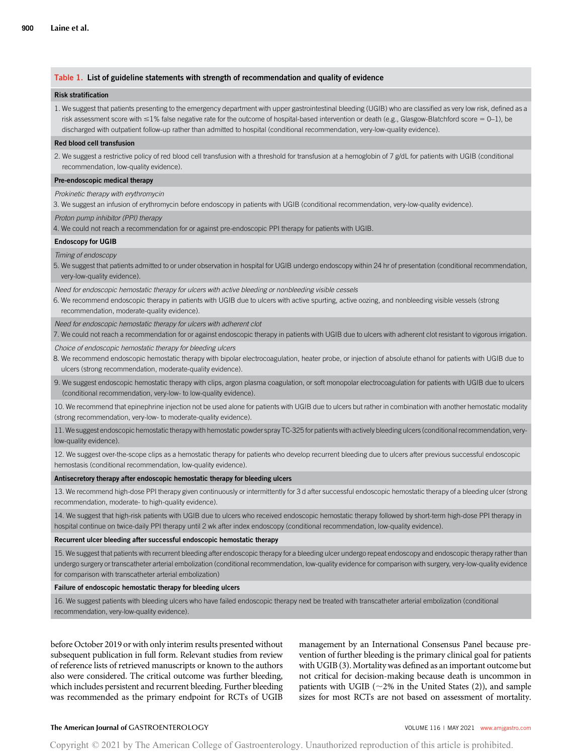### Table 1. List of guideline statements with strength of recommendation and quality of evidence

### Risk stratification

1. We suggest that patients presenting to the emergency department with upper gastrointestinal bleeding (UGIB) who are classified as very low risk, defined as a risk assessment score with  $\leq$ 1% false negative rate for the outcome of hospital-based intervention or death (e.g., Glasgow-Blatchford score = 0-1), be discharged with outpatient follow-up rather than admitted to hospital (conditional recommendation, very-low-quality evidence).

### Red blood cell transfusion

2. We suggest a restrictive policy of red blood cell transfusion with a threshold for transfusion at a hemoglobin of 7 g/dL for patients with UGIB (conditional recommendation, low-quality evidence).

### Pre-endoscopic medical therapy

Prokinetic therapy with erythromycin

3. We suggest an infusion of erythromycin before endoscopy in patients with UGIB (conditional recommendation, very-low-quality evidence).

Proton pump inhibitor (PPI) therapy

4. We could not reach a recommendation for or against pre-endoscopic PPI therapy for patients with UGIB.

### Endoscopy for UGIB

Timing of endoscopy

5. We suggest that patients admitted to or under observation in hospital for UGIB undergo endoscopy within 24 hr of presentation (conditional recommendation, very-low-quality evidence).

Need for endoscopic hemostatic therapy for ulcers with active bleeding or nonbleeding visible cessels

6. We recommend endoscopic therapy in patients with UGIB due to ulcers with active spurting, active oozing, and nonbleeding visible vessels (strong recommendation, moderate-quality evidence).

Need for endoscopic hemostatic therapy for ulcers with adherent clot

7. We could not reach a recommendation for or against endoscopic therapy in patients with UGIB due to ulcers with adherent clot resistant to vigorous irrigation.

Choice of endoscopic hemostatic therapy for bleeding ulcers

- 8. We recommend endoscopic hemostatic therapy with bipolar electrocoagulation, heater probe, or injection of absolute ethanol for patients with UGIB due to ulcers (strong recommendation, moderate-quality evidence).
- 9. We suggest endoscopic hemostatic therapy with clips, argon plasma coagulation, or soft monopolar electrocoagulation for patients with UGIB due to ulcers (conditional recommendation, very-low- to low-quality evidence).

10. We recommend that epinephrine injection not be used alone for patients with UGIB due to ulcers but rather in combination with another hemostatic modality (strong recommendation, very-low- to moderate-quality evidence).

11. We suggest endoscopic hemostatic therapy with hemostatic powder spray TC-325 for patients with actively bleeding ulcers (conditional recommendation, verylow-quality evidence).

12. We suggest over-the-scope clips as a hemostatic therapy for patients who develop recurrent bleeding due to ulcers after previous successful endoscopic hemostasis (conditional recommendation, low-quality evidence).

### Antisecretory therapy after endoscopic hemostatic therapy for bleeding ulcers

13. We recommend high-dose PPI therapy given continuously or intermittently for 3 d after successful endoscopic hemostatic therapy of a bleeding ulcer (strong recommendation, moderate- to high-quality evidence).

14. We suggest that high-risk patients with UGIB due to ulcers who received endoscopic hemostatic therapy followed by short-term high-dose PPI therapy in hospital continue on twice-daily PPI therapy until 2 wk after index endoscopy (conditional recommendation, low-quality evidence).

### Recurrent ulcer bleeding after successful endoscopic hemostatic therapy

15. We suggest that patients with recurrent bleeding after endoscopic therapy for a bleeding ulcer undergo repeat endoscopy and endoscopic therapy rather than undergo surgery or transcatheter arterial embolization (conditional recommendation, low-quality evidence for comparison with surgery, very-low-quality evidence for comparison with transcatheter arterial embolization)

### Failure of endoscopic hemostatic therapy for bleeding ulcers

16. We suggest patients with bleeding ulcers who have failed endoscopic therapy next be treated with transcatheter arterial embolization (conditional recommendation, very-low-quality evidence).

before October 2019 or with only interim results presented without subsequent publication in full form. Relevant studies from review of reference lists of retrieved manuscripts or known to the authors also were considered. The critical outcome was further bleeding, which includes persistent and recurrent bleeding. Further bleeding was recommended as the primary endpoint for RCTs of UGIB

management by an International Consensus Panel because prevention of further bleeding is the primary clinical goal for patients with UGIB (3). Mortality was defined as an important outcome but not critical for decision-making because death is uncommon in patients with UGIB ( $\sim$ 2% in the United States (2)), and sample sizes for most RCTs are not based on assessment of mortality.

### The American Journal of GASTROENTEROLOGY **Annual American Journal of GASTROENTEROLOGY VOLUME 116** | MAY 2021 [www.amjgastro.com](http://www.amjgastro.com)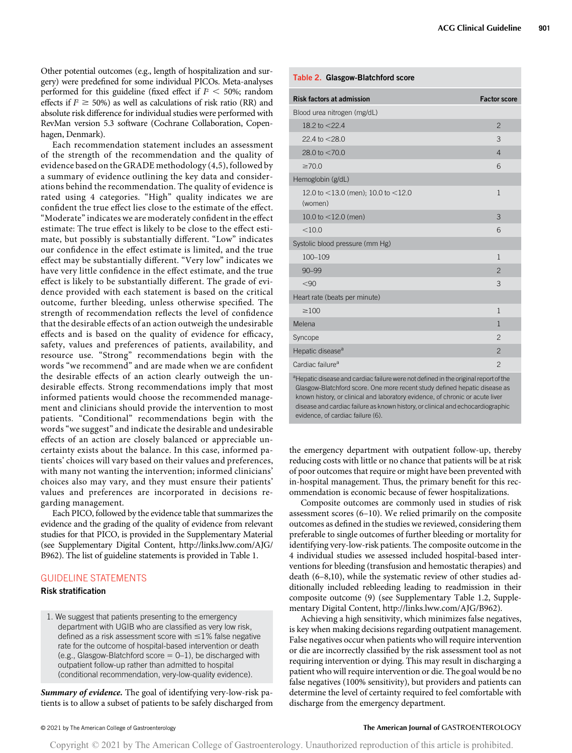Other potential outcomes (e.g., length of hospitalization and surgery) were predefined for some individual PICOs. Meta-analyses performed for this guideline (fixed effect if  $I^2 < 50\%$ ; random effects if  $I^2 \ge 50\%$ ) as well as calculations of risk ratio (RR) and absolute risk difference for individual studies were performed with RevMan version 5.3 software (Cochrane Collaboration, Copenhagen, Denmark).

Each recommendation statement includes an assessment of the strength of the recommendation and the quality of evidence based on the GRADE methodology (4,5), followed by a summary of evidence outlining the key data and considerations behind the recommendation. The quality of evidence is rated using 4 categories. "High" quality indicates we are confident the true effect lies close to the estimate of the effect. "Moderate"indicates we are moderately confident in the effect estimate: The true effect is likely to be close to the effect estimate, but possibly is substantially different. "Low" indicates our confidence in the effect estimate is limited, and the true effect may be substantially different. "Very low" indicates we have very little confidence in the effect estimate, and the true effect is likely to be substantially different. The grade of evidence provided with each statement is based on the critical outcome, further bleeding, unless otherwise specified. The strength of recommendation reflects the level of confidence that the desirable effects of an action outweigh the undesirable effects and is based on the quality of evidence for efficacy, safety, values and preferences of patients, availability, and resource use. "Strong" recommendations begin with the words "we recommend" and are made when we are confident the desirable effects of an action clearly outweigh the undesirable effects. Strong recommendations imply that most informed patients would choose the recommended management and clinicians should provide the intervention to most patients. "Conditional" recommendations begin with the words "we suggest" and indicate the desirable and undesirable effects of an action are closely balanced or appreciable uncertainty exists about the balance. In this case, informed patients' choices will vary based on their values and preferences, with many not wanting the intervention; informed clinicians' choices also may vary, and they must ensure their patients' values and preferences are incorporated in decisions regarding management.

Each PICO, followed by the evidence table that summarizes the evidence and the grading of the quality of evidence from relevant studies for that PICO, is provided in the Supplementary Material (see Supplementary Digital Content, [http://links.lww.com/AJG/](http://links.lww.com/AJG/B962) [B962](http://links.lww.com/AJG/B962)). The list of guideline statements is provided in Table 1.

# GUIDELINE STATEMENTS

# Risk stratification

1. We suggest that patients presenting to the emergency department with UGIB who are classified as very low risk, defined as a risk assessment score with  $\leq$ 1% false negative rate for the outcome of hospital-based intervention or death (e.g., Glasgow-Blatchford score  $= 0-1$ ), be discharged with outpatient follow-up rather than admitted to hospital (conditional recommendation, very-low-quality evidence).

Summary of evidence. The goal of identifying very-low-risk patients is to allow a subset of patients to be safely discharged from

# Table 2. Glasgow-Blatchford score

| <b>Risk factors at admission</b>                                                          | <b>Factor score</b> |
|-------------------------------------------------------------------------------------------|---------------------|
| Blood urea nitrogen (mg/dL)                                                               |                     |
| 18.2 to <22.4                                                                             | $\overline{2}$      |
| $22.4$ to $<$ 28.0                                                                        | 3                   |
| 28.0 to $<$ 70.0                                                                          | $\overline{4}$      |
| $\geq 70.0$                                                                               | 6                   |
| Hemoglobin (g/dL)                                                                         |                     |
| 12.0 to $<$ 13.0 (men); 10.0 to $<$ 12.0<br>(women)                                       | $\mathbf{1}$        |
| 10.0 to $<$ 12.0 (men)                                                                    | 3                   |
| < 10.0                                                                                    | 6                   |
| Systolic blood pressure (mm Hg)                                                           |                     |
| 100-109                                                                                   | 1                   |
| $90 - 99$                                                                                 | $\overline{2}$      |
| < 90                                                                                      | 3                   |
| Heart rate (beats per minute)                                                             |                     |
| $\geq 100$                                                                                | $\mathbf{1}$        |
| Melena                                                                                    | $\mathbf{1}$        |
| Syncope                                                                                   | $\overline{c}$      |
| Hepatic disease <sup>a</sup>                                                              | $\overline{2}$      |
| Cardiac failure <sup>a</sup>                                                              | $\overline{c}$      |
| $^{16}$ Henric disease and earlier failure were not defined in the eriginal report of the |                     |

Hepatic disease and cardiac failure were not defined in the original report of the Glasgow-Blatchford score. One more recent study defined hepatic disease as known history, or clinical and laboratory evidence, of chronic or acute liver disease and cardiac failure as known history, or clinical and echocardiographic evidence, of cardiac failure (6).

the emergency department with outpatient follow-up, thereby reducing costs with little or no chance that patients will be at risk of poor outcomes that require or might have been prevented with in-hospital management. Thus, the primary benefit for this recommendation is economic because of fewer hospitalizations.

Composite outcomes are commonly used in studies of risk assessment scores (6–10). We relied primarily on the composite outcomes as defined in the studies we reviewed, considering them preferable to single outcomes of further bleeding or mortality for identifying very-low-risk patients. The composite outcome in the 4 individual studies we assessed included hospital-based interventions for bleeding (transfusion and hemostatic therapies) and death (6–8,10), while the systematic review of other studies additionally included rebleeding leading to readmission in their composite outcome (9) (see Supplementary Table 1.2, Supplementary Digital Content,<http://links.lww.com/AJG/B962>).

Achieving a high sensitivity, which minimizes false negatives, is key when making decisions regarding outpatient management. False negatives occur when patients who will require intervention or die are incorrectly classified by the risk assessment tool as not requiring intervention or dying. This may result in discharging a patient who will require intervention or die. The goal would be no false negatives (100% sensitivity), but providers and patients can determine the level of certainty required to feel comfortable with discharge from the emergency department.

### © 2021 by The American College of Gastroenterology The American Journal of GASTROENTEROLOGY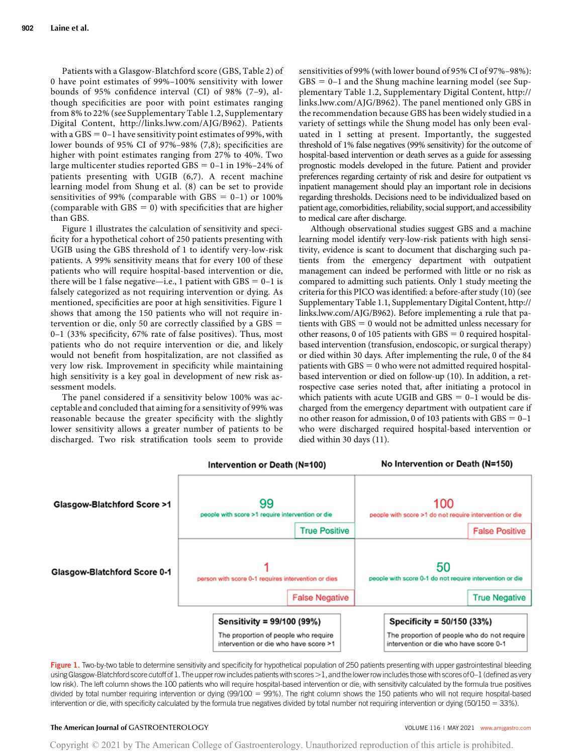Patients with a Glasgow-Blatchford score (GBS, Table 2) of 0 have point estimates of 99%–100% sensitivity with lower bounds of 95% confidence interval (CI) of 98% (7–9), although specificities are poor with point estimates ranging from 8% to 22% (see Supplementary Table 1.2, Supplementary Digital Content, [http://links.lww.com/AJG/B962\)](http://links.lww.com/AJG/B962). Patients with a GBS  $= 0-1$  have sensitivity point estimates of 99%, with lower bounds of 95% CI of 97%–98% (7,8); specificities are higher with point estimates ranging from 27% to 40%. Two large multicenter studies reported GBS =  $0-1$  in 19%–24% of patients presenting with UGIB (6,7). A recent machine learning model from Shung et al. (8) can be set to provide sensitivities of 99% (comparable with GBS =  $0-1$ ) or 100% (comparable with GBS  $= 0$ ) with specificities that are higher than GBS.

Figure 1 illustrates the calculation of sensitivity and specificity for a hypothetical cohort of 250 patients presenting with UGIB using the GBS threshold of 1 to identify very-low-risk patients. A 99% sensitivity means that for every 100 of these patients who will require hospital-based intervention or die, there will be 1 false negative—i.e., 1 patient with  $GBS = 0-1$  is falsely categorized as not requiring intervention or dying. As mentioned, specificities are poor at high sensitivities. Figure 1 shows that among the 150 patients who will not require intervention or die, only 50 are correctly classified by a  $GBS =$ 0–1 (33% specificity, 67% rate of false positives). Thus, most patients who do not require intervention or die, and likely would not benefit from hospitalization, are not classified as very low risk. Improvement in specificity while maintaining high sensitivity is a key goal in development of new risk assessment models.

The panel considered if a sensitivity below 100% was acceptable and concluded that aiming for a sensitivity of 99% was reasonable because the greater specificity with the slightly lower sensitivity allows a greater number of patients to be discharged. Two risk stratification tools seem to provide sensitivities of 99% (with lower bound of 95% CI of 97%–98%):  $GBS = 0-1$  and the Shung machine learning model (see Supplementary Table 1.2, Supplementary Digital Content, [http://](http://links.lww.com/AJG/B962) [links.lww.com/AJG/B962](http://links.lww.com/AJG/B962)). The panel mentioned only GBS in the recommendation because GBS has been widely studied in a variety of settings while the Shung model has only been evaluated in 1 setting at present. Importantly, the suggested threshold of 1% false negatives (99% sensitivity) for the outcome of hospital-based intervention or death serves as a guide for assessing prognostic models developed in the future. Patient and provider preferences regarding certainty of risk and desire for outpatient vs inpatient management should play an important role in decisions regarding thresholds. Decisions need to be individualized based on patient age, comorbidities, reliability, social support, and accessibility to medical care after discharge.

Although observational studies suggest GBS and a machine learning model identify very-low-risk patients with high sensitivity, evidence is scant to document that discharging such patients from the emergency department with outpatient management can indeed be performed with little or no risk as compared to admitting such patients. Only 1 study meeting the criteria for this PICO was identified: a before-after study (10) (see Supplementary Table 1.1, Supplementary Digital Content, [http://](http://links.lww.com/AJG/B962) [links.lww.com/AJG/B962\)](http://links.lww.com/AJG/B962). Before implementing a rule that patients with  $GBS = 0$  would not be admitted unless necessary for other reasons, 0 of 105 patients with  $GBS = 0$  required hospitalbased intervention (transfusion, endoscopic, or surgical therapy) or died within 30 days. After implementing the rule, 0 of the 84 patients with  $GBS = 0$  who were not admitted required hospitalbased intervention or died on follow-up (10). In addition, a retrospective case series noted that, after initiating a protocol in which patients with acute UGIB and  $GBS = 0-1$  would be discharged from the emergency department with outpatient care if no other reason for admission, 0 of 103 patients with  $GBS = 0-1$ who were discharged required hospital-based intervention or died within 30 days (11).



Figure 1. Two-by-two table to determine sensitivity and specificity for hypothetical population of 250 patients presenting with upper gastrointestinal bleeding using Glasgow-Blatchford score cutoff of 1. The upper row includes patients with scores >1, and the lower row includes those with scores of 0-1 (defined as very low risk). The left column shows the 100 patients who will require hospital-based intervention or die, with sensitivity calculated by the formula true positives divided by total number requiring intervention or dying (99/100 = 99%). The right column shows the 150 patients who will not require hospital-based intervention or die, with specificity calculated by the formula true negatives divided by total number not requiring intervention or dying (50/150 = 33%).

### The American Journal of GASTROENTEROLOGY **Annual American Journal of GASTROENTEROLOGY VOLUME 116 | MAY 2021** [www.amjgastro.com](http://www.amjgastro.com)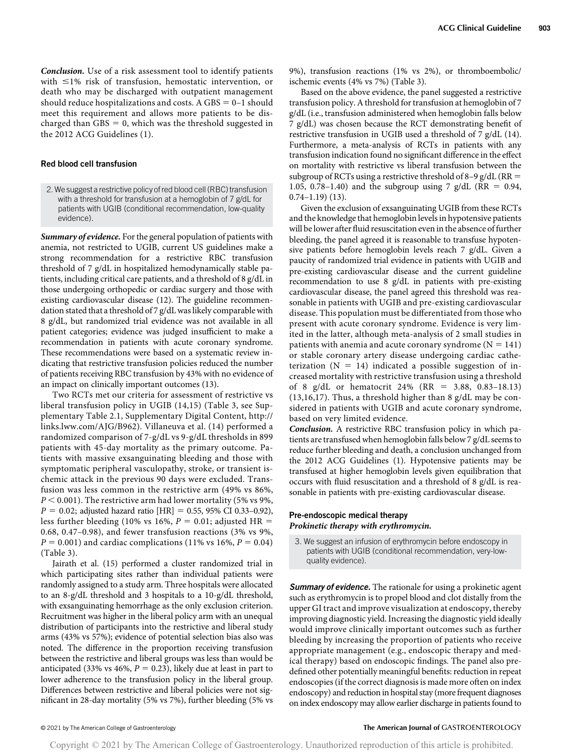Conclusion. Use of a risk assessment tool to identify patients with  $\leq$ 1% risk of transfusion, hemostatic intervention, or death who may be discharged with outpatient management should reduce hospitalizations and costs. A GBS  $= 0-1$  should meet this requirement and allows more patients to be discharged than GBS  $= 0$ , which was the threshold suggested in the 2012 ACG Guidelines (1).

### Red blood cell transfusion

2. We suggest a restrictive policy of red blood cell (RBC) transfusion with a threshold for transfusion at a hemoglobin of 7 g/dL for patients with UGIB (conditional recommendation, low-quality evidence).

Summary of evidence. For the general population of patients with anemia, not restricted to UGIB, current US guidelines make a strong recommendation for a restrictive RBC transfusion threshold of 7 g/dL in hospitalized hemodynamically stable patients, including critical care patients, and a threshold of 8 g/dL in those undergoing orthopedic or cardiac surgery and those with existing cardiovascular disease (12). The guideline recommendation stated that a threshold of 7 g/dL was likely comparable with 8 g/dL, but randomized trial evidence was not available in all patient categories; evidence was judged insufficient to make a recommendation in patients with acute coronary syndrome. These recommendations were based on a systematic review indicating that restrictive transfusion policies reduced the number of patients receiving RBC transfusion by 43% with no evidence of an impact on clinically important outcomes (13).

Two RCTs met our criteria for assessment of restrictive vs liberal transfusion policy in UGIB (14,15) (Table 3, see Supplementary Table 2.1, Supplementary Digital Content, [http://](http://links.lww.com/AJG/B962) [links.lww.com/AJG/B962\)](http://links.lww.com/AJG/B962). Villaneuva et al. (14) performed a randomized comparison of 7-g/dL vs 9-g/dL thresholds in 899 patients with 45-day mortality as the primary outcome. Patients with massive exsanguinating bleeding and those with symptomatic peripheral vasculopathy, stroke, or transient ischemic attack in the previous 90 days were excluded. Transfusion was less common in the restrictive arm (49% vs 86%,  $P < 0.001$ ). The restrictive arm had lower mortality (5% vs 9%,  $P = 0.02$ ; adjusted hazard ratio [HR] = 0.55, 95% CI 0.33-0.92), less further bleeding (10% vs 16%,  $P = 0.01$ ; adjusted HR = 0.68, 0.47–0.98), and fewer transfusion reactions (3% vs 9%,  $P = 0.001$ ) and cardiac complications (11% vs 16%,  $P = 0.04$ ) (Table 3).

Jairath et al. (15) performed a cluster randomized trial in which participating sites rather than individual patients were randomly assigned to a study arm. Three hospitals were allocated to an 8-g/dL threshold and 3 hospitals to a 10-g/dL threshold, with exsanguinating hemorrhage as the only exclusion criterion. Recruitment was higher in the liberal policy arm with an unequal distribution of participants into the restrictive and liberal study arms (43% vs 57%); evidence of potential selection bias also was noted. The difference in the proportion receiving transfusion between the restrictive and liberal groups was less than would be anticipated (33% vs 46%,  $P = 0.23$ ), likely due at least in part to lower adherence to the transfusion policy in the liberal group. Differences between restrictive and liberal policies were not significant in 28-day mortality (5% vs 7%), further bleeding (5% vs

9%), transfusion reactions (1% vs 2%), or thromboembolic/ ischemic events (4% vs 7%) (Table 3).

Based on the above evidence, the panel suggested a restrictive transfusion policy. A threshold for transfusion at hemoglobin of 7 g/dL (i.e., transfusion administered when hemoglobin falls below 7 g/dL) was chosen because the RCT demonstrating benefit of restrictive transfusion in UGIB used a threshold of 7 g/dL (14). Furthermore, a meta-analysis of RCTs in patients with any transfusion indication found no significant difference in the effect on mortality with restrictive vs liberal transfusion between the subgroup of RCTs using a restrictive threshold of 8-9 g/dL (RR  $=$ 1.05, 0.78–1.40) and the subgroup using 7 g/dL (RR = 0.94, 0.74–1.19) (13).

Given the exclusion of exsanguinating UGIB from these RCTs and the knowledge that hemoglobin levels in hypotensive patients will be lower after fluid resuscitation even in the absence of further bleeding, the panel agreed it is reasonable to transfuse hypotensive patients before hemoglobin levels reach 7 g/dL. Given a paucity of randomized trial evidence in patients with UGIB and pre-existing cardiovascular disease and the current guideline recommendation to use 8 g/dL in patients with pre-existing cardiovascular disease, the panel agreed this threshold was reasonable in patients with UGIB and pre-existing cardiovascular disease. This population must be differentiated from those who present with acute coronary syndrome. Evidence is very limited in the latter, although meta-analysis of 2 small studies in patients with anemia and acute coronary syndrome  $(N = 141)$ or stable coronary artery disease undergoing cardiac catheterization ( $N = 14$ ) indicated a possible suggestion of increased mortality with restrictive transfusion using a threshold of 8 g/dL or hematocrit 24% (RR = 3.88, 0.83-18.13) (13,16,17). Thus, a threshold higher than 8 g/dL may be considered in patients with UGIB and acute coronary syndrome, based on very limited evidence.

Conclusion. A restrictive RBC transfusion policy in which patients are transfused when hemoglobin falls below 7 g/dL seems to reduce further bleeding and death, a conclusion unchanged from the 2012 ACG Guidelines (1). Hypotensive patients may be transfused at higher hemoglobin levels given equilibration that occurs with fluid resuscitation and a threshold of 8 g/dL is reasonable in patients with pre-existing cardiovascular disease.

### Pre-endoscopic medical therapy Prokinetic therapy with erythromycin.

3. We suggest an infusion of erythromycin before endoscopy in patients with UGIB (conditional recommendation, very-lowquality evidence).

**Summary of evidence.** The rationale for using a prokinetic agent such as erythromycin is to propel blood and clot distally from the upper GI tract and improve visualization at endoscopy, thereby improving diagnostic yield. Increasing the diagnostic yield ideally would improve clinically important outcomes such as further bleeding by increasing the proportion of patients who receive appropriate management (e.g., endoscopic therapy and medical therapy) based on endoscopic findings. The panel also predefined other potentially meaningful benefits: reduction in repeat endoscopies (if the correct diagnosis is made more often on index endoscopy) and reduction in hospital stay (more frequent diagnoses on index endoscopy may allow earlier discharge in patients found to

### © 2021 by The American College of Gastroenterology The American Journal of GASTROENTEROLOGY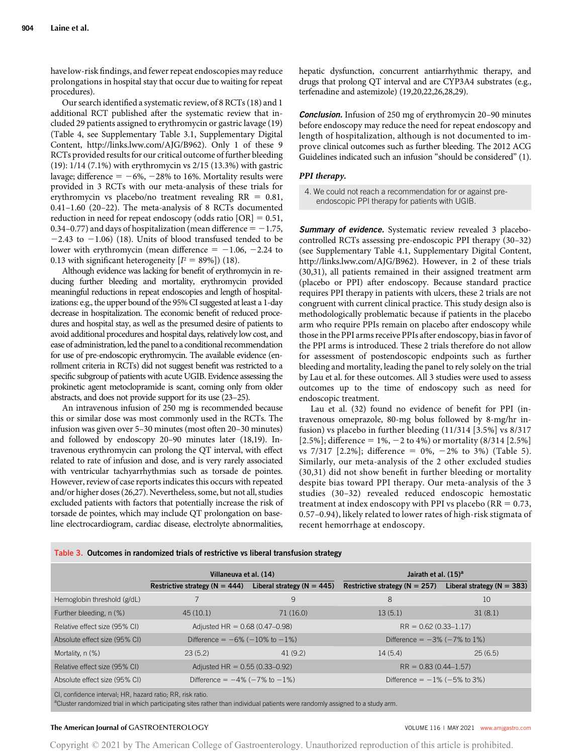have low-risk findings, and fewer repeat endoscopies may reduce prolongations in hospital stay that occur due to waiting for repeat procedures).

Our search identified a systematic review, of 8 RCTs (18) and 1 additional RCT published after the systematic review that included 29 patients assigned to erythromycin or gastric lavage (19) (Table 4, see Supplementary Table 3.1, Supplementary Digital Content,<http://links.lww.com/AJG/B962>). Only 1 of these 9 RCTs provided results for our critical outcome of further bleeding (19): 1/14 (7.1%) with erythromycin vs 2/15 (13.3%) with gastric lavage; difference =  $-6\%, -28\%$  to 16%. Mortality results were provided in 3 RCTs with our meta-analysis of these trials for erythromycin vs placebo/no treatment revealing  $RR = 0.81$ , 0.41–1.60 (20–22). The meta-analysis of 8 RCTs documented reduction in need for repeat endoscopy (odds ratio  $[OR] = 0.51$ , 0.34–0.77) and days of hospitalization (mean difference  $= -1.75$ ,  $-2.43$  to  $-1.06$ ) (18). Units of blood transfused tended to be lower with erythromycin (mean difference  $= -1.06, -2.24$  to 0.13 with significant heterogeneity  $[I^2 = 89\%])$  (18).

Although evidence was lacking for benefit of erythromycin in reducing further bleeding and mortality, erythromycin provided meaningful reductions in repeat endoscopies and length of hospitalizations: e.g., the upper bound of the 95% CI suggested at least a 1-day decrease in hospitalization. The economic benefit of reduced procedures and hospital stay, as well as the presumed desire of patients to avoid additional procedures and hospital days, relatively low cost, and ease of administration, led the panel to a conditional recommendation for use of pre-endoscopic erythromycin. The available evidence (enrollment criteria in RCTs) did not suggest benefit was restricted to a specific subgroup of patients with acute UGIB. Evidence assessing the prokinetic agent metoclopramide is scant, coming only from older abstracts, and does not provide support for its use (23–25).

An intravenous infusion of 250 mg is recommended because this or similar dose was most commonly used in the RCTs. The infusion was given over 5–30 minutes (most often 20–30 minutes) and followed by endoscopy 20–90 minutes later (18,19). Intravenous erythromycin can prolong the QT interval, with effect related to rate of infusion and dose, and is very rarely associated with ventricular tachyarrhythmias such as torsade de pointes. However, review of case reports indicates this occurs with repeated and/or higher doses (26,27). Nevertheless, some, but not all, studies excluded patients with factors that potentially increase the risk of torsade de pointes, which may include QT prolongation on baseline electrocardiogram, cardiac disease, electrolyte abnormalities,

Table 3. Outcomes in randomized trials of restrictive vs liberal transfusion strategy

hepatic dysfunction, concurrent antiarrhythmic therapy, and drugs that prolong QT interval and are CYP3A4 substrates (e.g., terfenadine and astemizole) (19,20,22,26,28,29).

**Conclusion.** Infusion of 250 mg of erythromycin 20–90 minutes before endoscopy may reduce the need for repeat endoscopy and length of hospitalization, although is not documented to improve clinical outcomes such as further bleeding. The 2012 ACG Guidelines indicated such an infusion "should be considered" (1).

### PPI therapy.

4. We could not reach a recommendation for or against preendoscopic PPI therapy for patients with UGIB.

Summary of evidence. Systematic review revealed 3 placebocontrolled RCTs assessing pre-endoscopic PPI therapy (30–32) (see Supplementary Table 4.1, Supplementary Digital Content, [http://links.lww.com/AJG/B962\)](http://links.lww.com/AJG/B962). However, in 2 of these trials (30,31), all patients remained in their assigned treatment arm (placebo or PPI) after endoscopy. Because standard practice requires PPI therapy in patients with ulcers, these 2 trials are not congruent with current clinical practice. This study design also is methodologically problematic because if patients in the placebo arm who require PPIs remain on placebo after endoscopy while those in the PPI arms receive PPIs after endoscopy, bias in favor of the PPI arms is introduced. These 2 trials therefore do not allow for assessment of postendoscopic endpoints such as further bleeding and mortality, leading the panel to rely solely on the trial by Lau et al. for these outcomes. All 3 studies were used to assess outcomes up to the time of endoscopy such as need for endoscopic treatment.

Lau et al. (32) found no evidence of benefit for PPI (intravenous omeprazole, 80-mg bolus followed by 8-mg/hr infusion) vs placebo in further bleeding (11/314 [3.5%] vs 8/317 [2.5%]; difference =  $1\%$ ,  $-2$  to 4%) or mortality (8/314 [2.5%] vs 7/317 [2.2%]; difference = 0%,  $-2\%$  to 3%) (Table 5). Similarly, our meta-analysis of the 2 other excluded studies (30,31) did not show benefit in further bleeding or mortality despite bias toward PPI therapy. Our meta-analysis of the 3 studies (30–32) revealed reduced endoscopic hemostatic treatment at index endoscopy with PPI vs placebo ( $RR = 0.73$ , 0.57–0.94), likely related to lower rates of high-risk stigmata of recent hemorrhage at endoscopy.

|                               | Villaneuva et al. (14)                    |                                | Jairath et al. (15) <sup>a</sup>    |                                |  |
|-------------------------------|-------------------------------------------|--------------------------------|-------------------------------------|--------------------------------|--|
|                               | Restrictive strategy ( $N = 444$ )        | Liberal strategy ( $N = 445$ ) | Restrictive strategy ( $N = 257$ )  | Liberal strategy ( $N = 383$ ) |  |
| Hemoglobin threshold (g/dL)   |                                           | 9                              | 8                                   | 10                             |  |
| Further bleeding, n (%)       | 45(10.1)                                  | 71 (16.0)                      | 13(5.1)                             | 31(8.1)                        |  |
| Relative effect size (95% CI) | Adjusted HR = $0.68(0.47-0.98)$           |                                | $RR = 0.62(0.33 - 1.17)$            |                                |  |
| Absolute effect size (95% CI) | Difference = $-6\%$ ( $-10\%$ to $-1\%$ ) |                                | Difference = $-3\%$ ( $-7\%$ to 1%) |                                |  |
| Mortality, n (%)              | 23(5.2)                                   | 41(9.2)                        | 14(5.4)                             | 25(6.5)                        |  |
| Relative effect size (95% CI) | Adjusted HR = $0.55(0.33-0.92)$           |                                | $RR = 0.83(0.44 - 1.57)$            |                                |  |
| Absolute effect size (95% CI) | Difference = $-4\%$ ( $-7\%$ to $-1\%$ )  |                                | Difference = $-1\%$ ( $-5\%$ to 3%) |                                |  |
|                               |                                           |                                |                                     |                                |  |

CI, confidence interval; HR, hazard ratio; RR, risk ratio.

<sup>a</sup>Cluster randomized trial in which participating sites rather than individual patients were randomly assigned to a study arm.

# The American Journal of GASTROENTEROLOGY **Annual American Journal of GASTROENTEROLOGY VOLUME 116** | MAY 2021 [www.amjgastro.com](http://www.amjgastro.com)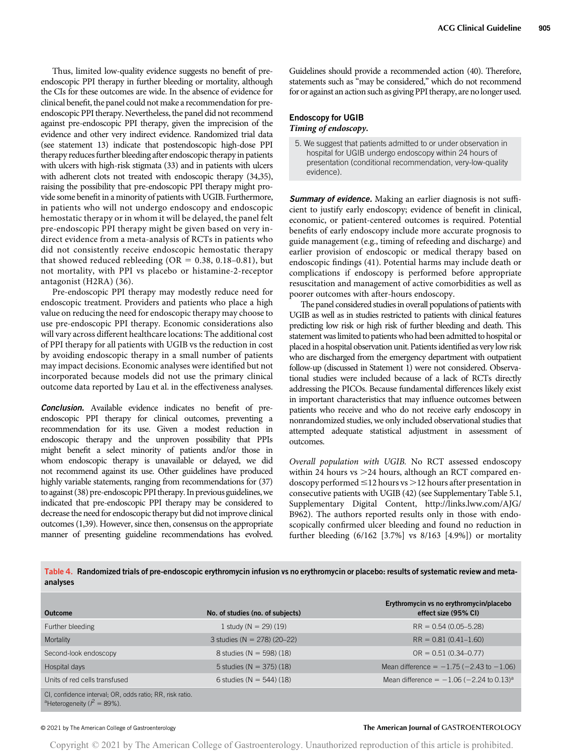Thus, limited low-quality evidence suggests no benefit of preendoscopic PPI therapy in further bleeding or mortality, although the CIs for these outcomes are wide. In the absence of evidence for clinical benefit, the panel could not make a recommendation for preendoscopic PPI therapy. Nevertheless, the panel did not recommend against pre-endoscopic PPI therapy, given the imprecision of the evidence and other very indirect evidence. Randomized trial data (see statement 13) indicate that postendoscopic high-dose PPI therapy reduces further bleeding after endoscopic therapy in patients with ulcers with high-risk stigmata (33) and in patients with ulcers with adherent clots not treated with endoscopic therapy (34,35), raising the possibility that pre-endoscopic PPI therapy might provide some benefit in a minority of patients with UGIB. Furthermore, in patients who will not undergo endoscopy and endoscopic hemostatic therapy or in whom it will be delayed, the panel felt pre-endoscopic PPI therapy might be given based on very indirect evidence from a meta-analysis of RCTs in patients who did not consistently receive endoscopic hemostatic therapy that showed reduced rebleeding (OR =  $0.38$ , 0.18–0.81), but not mortality, with PPI vs placebo or histamine-2-receptor antagonist (H2RA) (36).

Pre-endoscopic PPI therapy may modestly reduce need for endoscopic treatment. Providers and patients who place a high value on reducing the need for endoscopic therapy may choose to use pre-endoscopic PPI therapy. Economic considerations also will vary across different healthcare locations: The additional cost of PPI therapy for all patients with UGIB vs the reduction in cost by avoiding endoscopic therapy in a small number of patients may impact decisions. Economic analyses were identified but not incorporated because models did not use the primary clinical outcome data reported by Lau et al. in the effectiveness analyses.

**Conclusion.** Available evidence indicates no benefit of preendoscopic PPI therapy for clinical outcomes, preventing a recommendation for its use. Given a modest reduction in endoscopic therapy and the unproven possibility that PPIs might benefit a select minority of patients and/or those in whom endoscopic therapy is unavailable or delayed, we did not recommend against its use. Other guidelines have produced highly variable statements, ranging from recommendations for (37) to against (38) pre-endoscopic PPI therapy. In previous guidelines, we indicated that pre-endoscopic PPI therapy may be considered to decrease the need for endoscopic therapy but did not improve clinical outcomes (1,39). However, since then, consensus on the appropriate manner of presenting guideline recommendations has evolved.

Guidelines should provide a recommended action (40). Therefore, statements such as "may be considered," which do not recommend for or against an action such as giving PPI therapy, are no longer used.

# Endoscopy for UGIB Timing of endoscopy.

5. We suggest that patients admitted to or under observation in hospital for UGIB undergo endoscopy within 24 hours of presentation (conditional recommendation, very-low-quality evidence).

Summary of evidence. Making an earlier diagnosis is not sufficient to justify early endoscopy; evidence of benefit in clinical, economic, or patient-centered outcomes is required. Potential benefits of early endoscopy include more accurate prognosis to guide management (e.g., timing of refeeding and discharge) and earlier provision of endoscopic or medical therapy based on endoscopic findings (41). Potential harms may include death or complications if endoscopy is performed before appropriate resuscitation and management of active comorbidities as well as poorer outcomes with after-hours endoscopy.

The panel considered studies in overall populations of patients with UGIB as well as in studies restricted to patients with clinical features predicting low risk or high risk of further bleeding and death. This statement was limited to patients who had been admitted to hospital or placed in a hospital observation unit. Patients identified as very low risk who are discharged from the emergency department with outpatient follow-up (discussed in Statement 1) were not considered. Observational studies were included because of a lack of RCTs directly addressing the PICOs. Because fundamental differences likely exist in important characteristics that may influence outcomes between patients who receive and who do not receive early endoscopy in nonrandomized studies, we only included observational studies that attempted adequate statistical adjustment in assessment of outcomes.

Overall population with UGIB. No RCT assessed endoscopy within 24 hours vs  $>$  24 hours, although an RCT compared endoscopy performed  $\leq$  12 hours vs  $>$  12 hours after presentation in consecutive patients with UGIB (42) (see Supplementary Table 5.1, Supplementary Digital Content, [http://links.lww.com/AJG/](http://links.lww.com/AJG/B962) [B962](http://links.lww.com/AJG/B962)). The authors reported results only in those with endoscopically confirmed ulcer bleeding and found no reduction in further bleeding (6/162 [3.7%] vs 8/163 [4.9%]) or mortality

Table 4. Randomized trials of pre-endoscopic erythromycin infusion vs no erythromycin or placebo: results of systematic review and metaanalyses

| <b>Outcome</b>                                                                                                 | No. of studies (no. of subjects) | Erythromycin vs no erythromycin/placebo<br>effect size (95% CI) |
|----------------------------------------------------------------------------------------------------------------|----------------------------------|-----------------------------------------------------------------|
| Further bleeding                                                                                               | 1 study ( $N = 29$ ) (19)        | $RR = 0.54(0.05 - 5.28)$                                        |
| Mortality                                                                                                      | 3 studies ( $N = 278$ ) (20-22)  | $RR = 0.81(0.41 - 1.60)$                                        |
| Second-look endoscopy                                                                                          | 8 studies ( $N = 598$ ) (18)     | $OR = 0.51 (0.34 - 0.77)$                                       |
| Hospital days                                                                                                  | 5 studies $(N = 375)$ (18)       | Mean difference $= -1.75 (-2.43 \text{ to } -1.06)$             |
| Units of red cells transfused                                                                                  | 6 studies ( $N = 544$ ) (18)     | Mean difference = $-1.06$ ( $-2.24$ to 0.13) <sup>a</sup>       |
| CI, confidence interval; OR, odds ratio; RR, risk ratio.<br><sup>a</sup> Heterogeneity ( $\mathcal{P}$ = 89%). |                                  |                                                                 |

### © 2021 by The American College of Gastroenterology The American Journal of GASTROENTEROLOGY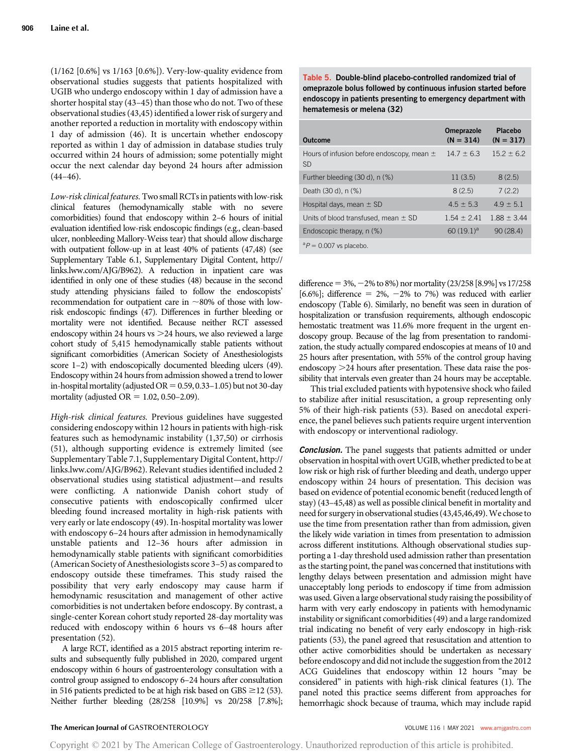(1/162 [0.6%] vs 1/163 [0.6%]). Very-low-quality evidence from observational studies suggests that patients hospitalized with UGIB who undergo endoscopy within 1 day of admission have a shorter hospital stay (43–45) than those who do not. Two of these observational studies (43,45) identified a lower risk of surgery and another reported a reduction in mortality with endoscopy within 1 day of admission (46). It is uncertain whether endoscopy reported as within 1 day of admission in database studies truly occurred within 24 hours of admission; some potentially might occur the next calendar day beyond 24 hours after admission  $(44-46)$ .

Low-risk clinical features. Two small RCTs in patients with low-risk clinical features (hemodynamically stable with no severe comorbidities) found that endoscopy within 2–6 hours of initial evaluation identified low-risk endoscopic findings (e.g., clean-based ulcer, nonbleeding Mallory-Weiss tear) that should allow discharge with outpatient follow-up in at least 40% of patients (47,48) (see Supplementary Table 6.1, Supplementary Digital Content, [http://](http://links.lww.com/AJG/B962) [links.lww.com/AJG/B962](http://links.lww.com/AJG/B962)). A reduction in inpatient care was identified in only one of these studies (48) because in the second study attending physicians failed to follow the endoscopists' recommendation for outpatient care in  $\sim$ 80% of those with lowrisk endoscopic findings (47). Differences in further bleeding or mortality were not identified. Because neither RCT assessed endoscopy within 24 hours vs  $>$  24 hours, we also reviewed a large cohort study of 5,415 hemodynamically stable patients without significant comorbidities (American Society of Anesthesiologists score 1–2) with endoscopically documented bleeding ulcers (49). Endoscopy within 24 hours from admission showed a trend to lower in-hospital mortality (adjusted  $OR = 0.59, 0.33-1.05$ ) but not 30-day mortality (adjusted OR =  $1.02$ , 0.50–2.09).

High-risk clinical features. Previous guidelines have suggested considering endoscopy within 12 hours in patients with high-risk features such as hemodynamic instability (1,37,50) or cirrhosis (51), although supporting evidence is extremely limited (see Supplementary Table 7.1, Supplementary Digital Content, [http://](http://links.lww.com/AJG/B962) [links.lww.com/AJG/B962\)](http://links.lww.com/AJG/B962). Relevant studies identified included 2 observational studies using statistical adjustment—and results were conflicting. A nationwide Danish cohort study of consecutive patients with endoscopically confirmed ulcer bleeding found increased mortality in high-risk patients with very early or late endoscopy (49). In-hospital mortality was lower with endoscopy 6–24 hours after admission in hemodynamically unstable patients and 12–36 hours after admission in hemodynamically stable patients with significant comorbidities (American Society of Anesthesiologists score 3–5) as compared to endoscopy outside these timeframes. This study raised the possibility that very early endoscopy may cause harm if hemodynamic resuscitation and management of other active comorbidities is not undertaken before endoscopy. By contrast, a single-center Korean cohort study reported 28-day mortality was reduced with endoscopy within 6 hours vs 6–48 hours after presentation (52).

A large RCT, identified as a 2015 abstract reporting interim results and subsequently fully published in 2020, compared urgent endoscopy within 6 hours of gastroenterology consultation with a control group assigned to endoscopy 6–24 hours after consultation in 516 patients predicted to be at high risk based on GBS  $\geq$  12 (53). Neither further bleeding (28/258 [10.9%] vs 20/258 [7.8%]; Table 5. Double-blind placebo-controlled randomized trial of omeprazole bolus followed by continuous infusion started before endoscopy in patients presenting to emergency department with hematemesis or melena (32)

| <b>Outcome</b>                                              | <b>Omeprazole</b><br>$(N = 314)$ | Placebo<br>$(N = 317)$ |
|-------------------------------------------------------------|----------------------------------|------------------------|
| Hours of infusion before endoscopy, mean $\pm$<br><b>SD</b> | $147 + 63$                       | $152 + 62$             |
| Further bleeding (30 d), n (%)                              | 11(3.5)                          | 8(2.5)                 |
| Death (30 d), n (%)                                         | 8(2.5)                           | 7(2.2)                 |
| Hospital days, mean $\pm$ SD                                | $45 + 53$                        | $4.9 \pm 5.1$          |
| Units of blood transfused, mean $\pm$ SD                    | $1.54 \pm 2.41$                  | $1.88 \pm 3.44$        |
| Endoscopic therapy, $n$ $(\%)$                              | $60(19.1)^a$                     | 90(28.4)               |
| $P = 0.007$ vs placebo.                                     |                                  |                        |

difference =  $3\%$ ,  $-2\%$  to 8%) nor mortality (23/258 [8.9%] vs 17/258 [6.6%]; difference = 2%,  $-2\%$  to 7%) was reduced with earlier endoscopy (Table 6). Similarly, no benefit was seen in duration of hospitalization or transfusion requirements, although endoscopic hemostatic treatment was 11.6% more frequent in the urgent endoscopy group. Because of the lag from presentation to randomization, the study actually compared endoscopies at means of 10 and 25 hours after presentation, with 55% of the control group having endoscopy  $>$  24 hours after presentation. These data raise the possibility that intervals even greater than 24 hours may be acceptable.

This trial excluded patients with hypotensive shock who failed to stabilize after initial resuscitation, a group representing only 5% of their high-risk patients (53). Based on anecdotal experience, the panel believes such patients require urgent intervention with endoscopy or interventional radiology.

**Conclusion.** The panel suggests that patients admitted or under observation in hospital with overt UGIB, whether predicted to be at low risk or high risk of further bleeding and death, undergo upper endoscopy within 24 hours of presentation. This decision was based on evidence of potential economic benefit (reduced length of stay) (43–45,48) as well as possible clinical benefit in mortality and need for surgery in observational studies (43,45,46,49). We chose to use the time from presentation rather than from admission, given the likely wide variation in times from presentation to admission across different institutions. Although observational studies supporting a 1-day threshold used admission rather than presentation as the starting point, the panel was concerned that institutions with lengthy delays between presentation and admission might have unacceptably long periods to endoscopy if time from admission was used. Given a large observational study raising the possibility of harm with very early endoscopy in patients with hemodynamic instability or significant comorbidities (49) and a large randomized trial indicating no benefit of very early endoscopy in high-risk patients (53), the panel agreed that resuscitation and attention to other active comorbidities should be undertaken as necessary before endoscopy and did not include the suggestion from the 2012 ACG Guidelines that endoscopy within 12 hours "may be considered" in patients with high-risk clinical features (1). The panel noted this practice seems different from approaches for hemorrhagic shock because of trauma, which may include rapid

### The American Journal of GASTROENTEROLOGY **Annual American Journal of GASTROENTEROLOGY VOLUME 116** | MAY 2021 [www.amjgastro.com](http://www.amjgastro.com)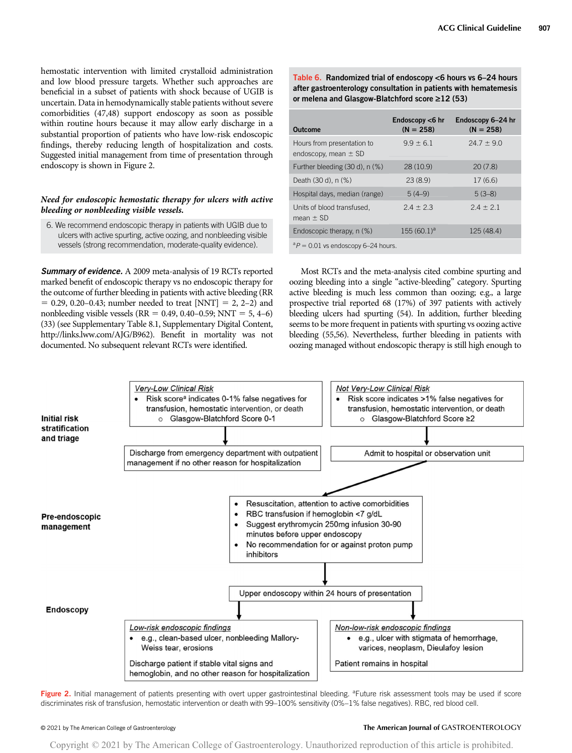hemostatic intervention with limited crystalloid administration and low blood pressure targets. Whether such approaches are beneficial in a subset of patients with shock because of UGIB is uncertain. Data in hemodynamically stable patients without severe comorbidities (47,48) support endoscopy as soon as possible within routine hours because it may allow early discharge in a substantial proportion of patients who have low-risk endoscopic findings, thereby reducing length of hospitalization and costs. Suggested initial management from time of presentation through endoscopy is shown in Figure 2.

### Need for endoscopic hemostatic therapy for ulcers with active bleeding or nonbleeding visible vessels.

6. We recommend endoscopic therapy in patients with UGIB due to ulcers with active spurting, active oozing, and nonbleeding visible vessels (strong recommendation, moderate-quality evidence).

Summary of evidence. A 2009 meta-analysis of 19 RCTs reported marked benefit of endoscopic therapy vs no endoscopic therapy for the outcome of further bleeding in patients with active bleeding (RR  $= 0.29, 0.20 - 0.43$ ; number needed to treat [NNT]  $= 2, 2-2$ ) and nonbleeding visible vessels (RR =  $0.49, 0.40$ – $0.59$ ; NNT =  $5, 4$ –6) (33) (see Supplementary Table 8.1, Supplementary Digital Content, [http://links.lww.com/AJG/B962\)](http://links.lww.com/AJG/B962). Benefit in mortality was not documented. No subsequent relevant RCTs were identified.

Table 6. Randomized trial of endoscopy <6 hours vs 6–24 hours after gastroenterology consultation in patients with hematemesis or melena and Glasgow-Blatchford score  $\ge$ 12 (53)

| <b>Outcome</b>                                         | Endoscopy <6 hr<br>$(N = 258)$ | Endoscopy 6-24 hr<br>$(N = 258)$ |
|--------------------------------------------------------|--------------------------------|----------------------------------|
| Hours from presentation to<br>endoscopy, mean $\pm$ SD | $9.9 \pm 6.1$                  | $24.7 \pm 9.0$                   |
| Further bleeding (30 d), n (%)                         | 28 (10.9)                      | 20(7.8)                          |
| Death (30 d), n (%)                                    | 23(8.9)                        | 17(6.6)                          |
| Hospital days, median (range)                          | $5(4-9)$                       | $5(3-8)$                         |
| Units of blood transfused.<br>mean $\pm$ SD            | $24 + 23$                      | $24 + 21$                        |
| Endoscopic therapy, $n$ $(\%)$                         | $155(60.1)^a$                  | 125 (48.4)                       |
| ${}^{\rm a}P$ = 0.01 vs endoscopy 6–24 hours.          |                                |                                  |

Most RCTs and the meta-analysis cited combine spurting and oozing bleeding into a single "active-bleeding" category. Spurting active bleeding is much less common than oozing; e.g., a large prospective trial reported 68 (17%) of 397 patients with actively bleeding ulcers had spurting (54). In addition, further bleeding seems to be more frequent in patients with spurting vs oozing active bleeding (55,56). Nevertheless, further bleeding in patients with oozing managed without endoscopic therapy is still high enough to



Figure 2. Initial management of patients presenting with overt upper gastrointestinal bleeding. <sup>a</sup>Future risk assessment tools may be used if score discriminates risk of transfusion, hemostatic intervention or death with 99–100% sensitivity (0%–1% false negatives). RBC, red blood cell.

### © 2021 by The American College of Gastroenterology The American Journal of GASTROENTEROLOGY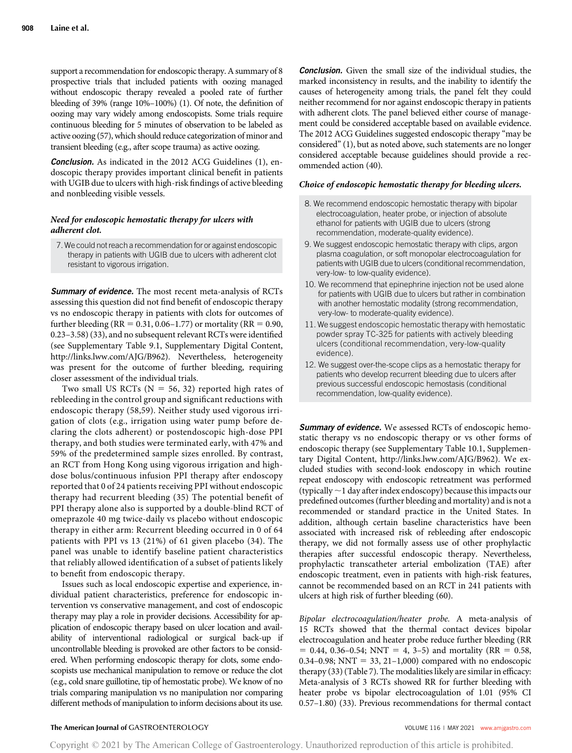support a recommendation for endoscopic therapy. A summary of 8 prospective trials that included patients with oozing managed without endoscopic therapy revealed a pooled rate of further bleeding of 39% (range 10%–100%) (1). Of note, the definition of oozing may vary widely among endoscopists. Some trials require continuous bleeding for 5 minutes of observation to be labeled as active oozing (57), which should reduce categorization of minor and transient bleeding (e.g., after scope trauma) as active oozing.

**Conclusion.** As indicated in the 2012 ACG Guidelines (1), endoscopic therapy provides important clinical benefit in patients with UGIB due to ulcers with high-risk findings of active bleeding and nonbleeding visible vessels.

# Need for endoscopic hemostatic therapy for ulcers with adherent clot.

7. We could not reach a recommendation for or against endoscopic therapy in patients with UGIB due to ulcers with adherent clot resistant to vigorous irrigation.

**Summary of evidence.** The most recent meta-analysis of RCTs assessing this question did not find benefit of endoscopic therapy vs no endoscopic therapy in patients with clots for outcomes of further bleeding (RR =  $0.31$ ,  $0.06-1.77$ ) or mortality (RR =  $0.90$ , 0.23–3.58) (33), and no subsequent relevant RCTs were identified (see Supplementary Table 9.1, Supplementary Digital Content, [http://links.lww.com/AJG/B962\)](http://links.lww.com/AJG/B962). Nevertheless, heterogeneity was present for the outcome of further bleeding, requiring closer assessment of the individual trials.

Two small US RCTs ( $N = 56, 32$ ) reported high rates of rebleeding in the control group and significant reductions with endoscopic therapy (58,59). Neither study used vigorous irrigation of clots (e.g., irrigation using water pump before declaring the clots adherent) or postendoscopic high-dose PPI therapy, and both studies were terminated early, with 47% and 59% of the predetermined sample sizes enrolled. By contrast, an RCT from Hong Kong using vigorous irrigation and highdose bolus/continuous infusion PPI therapy after endoscopy reported that 0 of 24 patients receiving PPI without endoscopic therapy had recurrent bleeding (35) The potential benefit of PPI therapy alone also is supported by a double-blind RCT of omeprazole 40 mg twice-daily vs placebo without endoscopic therapy in either arm: Recurrent bleeding occurred in 0 of 64 patients with PPI vs 13 (21%) of 61 given placebo (34). The panel was unable to identify baseline patient characteristics that reliably allowed identification of a subset of patients likely to benefit from endoscopic therapy.

Issues such as local endoscopic expertise and experience, individual patient characteristics, preference for endoscopic intervention vs conservative management, and cost of endoscopic therapy may play a role in provider decisions. Accessibility for application of endoscopic therapy based on ulcer location and availability of interventional radiological or surgical back-up if uncontrollable bleeding is provoked are other factors to be considered. When performing endoscopic therapy for clots, some endoscopists use mechanical manipulation to remove or reduce the clot (e.g., cold snare guillotine, tip of hemostatic probe). We know of no trials comparing manipulation vs no manipulation nor comparing different methods of manipulation to inform decisions about its use.

**Conclusion.** Given the small size of the individual studies, the marked inconsistency in results, and the inability to identify the causes of heterogeneity among trials, the panel felt they could neither recommend for nor against endoscopic therapy in patients with adherent clots. The panel believed either course of management could be considered acceptable based on available evidence. The 2012 ACG Guidelines suggested endoscopic therapy "may be considered" (1), but as noted above, such statements are no longer considered acceptable because guidelines should provide a recommended action (40).

### Choice of endoscopic hemostatic therapy for bleeding ulcers.

- 8. We recommend endoscopic hemostatic therapy with bipolar electrocoagulation, heater probe, or injection of absolute ethanol for patients with UGIB due to ulcers (strong recommendation, moderate-quality evidence).
- 9. We suggest endoscopic hemostatic therapy with clips, argon plasma coagulation, or soft monopolar electrocoagulation for patients with UGIB due to ulcers (conditional recommendation, very-low- to low-quality evidence).
- 10. We recommend that epinephrine injection not be used alone for patients with UGIB due to ulcers but rather in combination with another hemostatic modality (strong recommendation, very-low- to moderate-quality evidence).
- 11. We suggest endoscopic hemostatic therapy with hemostatic powder spray TC-325 for patients with actively bleeding ulcers (conditional recommendation, very-low-quality evidence).
- 12. We suggest over-the-scope clips as a hemostatic therapy for patients who develop recurrent bleeding due to ulcers after previous successful endoscopic hemostasis (conditional recommendation, low-quality evidence).

Summary of evidence. We assessed RCTs of endoscopic hemostatic therapy vs no endoscopic therapy or vs other forms of endoscopic therapy (see Supplementary Table 10.1, Supplementary Digital Content, [http://links.lww.com/AJG/B962\)](http://links.lww.com/AJG/B962). We excluded studies with second-look endoscopy in which routine repeat endoscopy with endoscopic retreatment was performed (typically  $\sim$  1 day after index endoscopy) because this impacts our predefined outcomes (further bleeding and mortality) and is not a recommended or standard practice in the United States. In addition, although certain baseline characteristics have been associated with increased risk of rebleeding after endoscopic therapy, we did not formally assess use of other prophylactic therapies after successful endoscopic therapy. Nevertheless, prophylactic transcatheter arterial embolization (TAE) after endoscopic treatment, even in patients with high-risk features, cannot be recommended based on an RCT in 241 patients with ulcers at high risk of further bleeding (60).

Bipolar electrocoagulation/heater probe. A meta-analysis of 15 RCTs showed that the thermal contact devices bipolar electrocoagulation and heater probe reduce further bleeding (RR  $= 0.44, 0.36 - 0.54; NNT = 4, 3-5$  and mortality (RR = 0.58, 0.34–0.98; NNT = 33, 21–1,000) compared with no endoscopic therapy (33) (Table 7). The modalities likely are similar in efficacy: Meta-analysis of 3 RCTs showed RR for further bleeding with heater probe vs bipolar electrocoagulation of 1.01 (95% CI 0.57–1.80) (33). Previous recommendations for thermal contact

# The American Journal of GASTROENTEROLOGY **Annual American Journal of GASTROENTEROLOGY VOLUME 116 | MAY 2021** [www.amjgastro.com](http://www.amjgastro.com)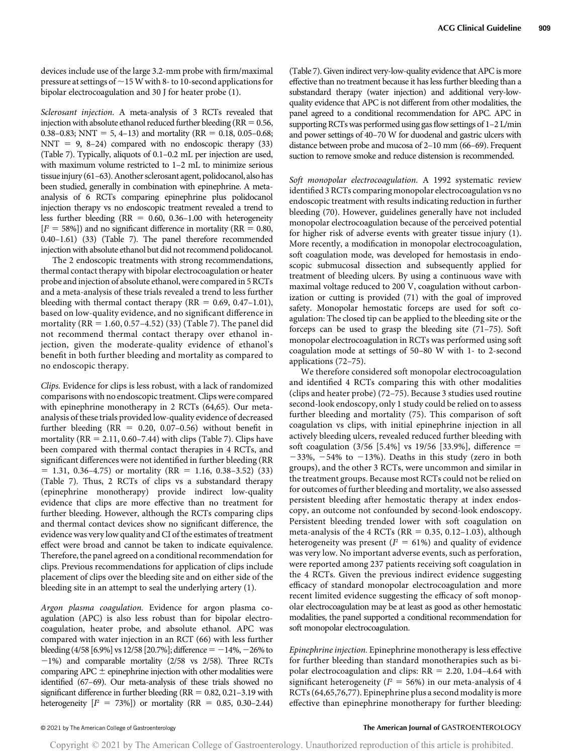devices include use of the large 3.2-mm probe with firm/maximal pressure at settings of  $\sim$  15 W with 8- to 10-second applications for bipolar electrocoagulation and 30 J for heater probe (1).

Sclerosant injection. A meta-analysis of 3 RCTs revealed that injection with absolute ethanol reduced further bleeding ( $RR = 0.56$ , 0.38–0.83; NNT = 5, 4–13) and mortality (RR = 0.18, 0.05–0.68;  $NNT = 9$ , 8–24) compared with no endoscopic therapy (33) (Table 7). Typically, aliquots of 0.1–0.2 mL per injection are used, with maximum volume restricted to 1–2 mL to minimize serious tissue injury (61–63). Another sclerosant agent, polidocanol, also has been studied, generally in combination with epinephrine. A metaanalysis of 6 RCTs comparing epinephrine plus polidocanol injection therapy vs no endoscopic treatment revealed a trend to less further bleeding ( $RR = 0.60, 0.36–1.00$  with heterogeneity  $[I^2 = 58\%]$ ) and no significant difference in mortality (RR = 0.80, 0.40–1.61) (33) (Table 7). The panel therefore recommended injection with absolute ethanol but did not recommend polidocanol.

The 2 endoscopic treatments with strong recommendations, thermal contact therapy with bipolar electrocoagulation or heater probe and injection of absolute ethanol, were compared in 5 RCTs and a meta-analysis of these trials revealed a trend to less further bleeding with thermal contact therapy ( $RR = 0.69, 0.47-1.01$ ), based on low-quality evidence, and no significant difference in mortality (RR = 1.60, 0.57–4.52) (33) (Table 7). The panel did not recommend thermal contact therapy over ethanol injection, given the moderate-quality evidence of ethanol's benefit in both further bleeding and mortality as compared to no endoscopic therapy.

Clips. Evidence for clips is less robust, with a lack of randomized comparisons with no endoscopic treatment. Clips were compared with epinephrine monotherapy in 2 RCTs (64,65). Our metaanalysis of these trials provided low-quality evidence of decreased further bleeding (RR =  $0.20$ ,  $0.07-0.56$ ) without benefit in mortality ( $RR = 2.11$ , 0.60–7.44) with clips (Table 7). Clips have been compared with thermal contact therapies in 4 RCTs, and significant differences were not identified in further bleeding (RR  $= 1.31, 0.36-4.75$  or mortality (RR  $= 1.16, 0.38-3.52$ ) (33) (Table 7). Thus, 2 RCTs of clips vs a substandard therapy (epinephrine monotherapy) provide indirect low-quality evidence that clips are more effective than no treatment for further bleeding. However, although the RCTs comparing clips and thermal contact devices show no significant difference, the evidence was very low quality and CI of the estimates of treatment effect were broad and cannot be taken to indicate equivalence. Therefore, the panel agreed on a conditional recommendation for clips. Previous recommendations for application of clips include placement of clips over the bleeding site and on either side of the bleeding site in an attempt to seal the underlying artery (1).

Argon plasma coagulation. Evidence for argon plasma coagulation (APC) is also less robust than for bipolar electrocoagulation, heater probe, and absolute ethanol. APC was compared with water injection in an RCT (66) with less further bleeding (4/58 [6.9%] vs 12/58 [20.7%]; difference  $=$  -14%, -26% to  $-1\%$ ) and comparable mortality (2/58 vs 2/58). Three RCTs comparing APC  $\pm$  epinephrine injection with other modalities were identified (67–69). Our meta-analysis of these trials showed no significant difference in further bleeding ( $RR = 0.82$ , 0.21–3.19 with heterogeneity  $[I^2 = 73\%])$  or mortality (RR = 0.85, 0.30-2.44)

(Table 7). Given indirect very-low-quality evidence that APC is more effective than no treatment because it has less further bleeding than a substandard therapy (water injection) and additional very-lowquality evidence that APC is not different from other modalities, the panel agreed to a conditional recommendation for APC. APC in supporting RCTs was performed using gas flow settings of 1–2 L/min and power settings of 40–70 W for duodenal and gastric ulcers with distance between probe and mucosa of 2–10 mm (66–69). Frequent suction to remove smoke and reduce distension is recommended.

Soft monopolar electrocoagulation. A 1992 systematic review identified 3 RCTs comparing monopolar electrocoagulation vs no endoscopic treatment with results indicating reduction in further bleeding (70). However, guidelines generally have not included monopolar electrocoagulation because of the perceived potential for higher risk of adverse events with greater tissue injury (1). More recently, a modification in monopolar electrocoagulation, soft coagulation mode, was developed for hemostasis in endoscopic submucosal dissection and subsequently applied for treatment of bleeding ulcers. By using a continuous wave with maximal voltage reduced to 200 V, coagulation without carbonization or cutting is provided (71) with the goal of improved safety. Monopolar hemostatic forceps are used for soft coagulation: The closed tip can be applied to the bleeding site or the forceps can be used to grasp the bleeding site (71–75). Soft monopolar electrocoagulation in RCTs was performed using soft coagulation mode at settings of 50–80 W with 1- to 2-second applications (72–75).

We therefore considered soft monopolar electrocoagulation and identified 4 RCTs comparing this with other modalities (clips and heater probe) (72–75). Because 3 studies used routine second-look endoscopy, only 1 study could be relied on to assess further bleeding and mortality (75). This comparison of soft coagulation vs clips, with initial epinephrine injection in all actively bleeding ulcers, revealed reduced further bleeding with soft coagulation  $(3/56 [5.4\%] \text{ vs } 19/56 [33.9\%],$  difference =  $-33\%$ ,  $-54\%$  to  $-13\%$ ). Deaths in this study (zero in both groups), and the other 3 RCTs, were uncommon and similar in the treatment groups. Because most RCTs could not be relied on for outcomes of further bleeding and mortality, we also assessed persistent bleeding after hemostatic therapy at index endoscopy, an outcome not confounded by second-look endoscopy. Persistent bleeding trended lower with soft coagulation on meta-analysis of the 4 RCTs ( $RR = 0.35, 0.12-1.03$ ), although heterogeneity was present ( $I^2 = 61\%$ ) and quality of evidence was very low. No important adverse events, such as perforation, were reported among 237 patients receiving soft coagulation in the 4 RCTs. Given the previous indirect evidence suggesting efficacy of standard monopolar electrocoagulation and more recent limited evidence suggesting the efficacy of soft monopolar electrocoagulation may be at least as good as other hemostatic modalities, the panel supported a conditional recommendation for soft monopolar electrocoagulation.

Epinephrine injection. Epinephrine monotherapy is less effective for further bleeding than standard monotherapies such as bipolar electrocoagulation and clips:  $RR = 2.20$ , 1.04–4.64 with significant heterogeneity ( $I^2 = 56\%$ ) in our meta-analysis of 4 RCTs (64,65,76,77). Epinephrine plus a second modality is more effective than epinephrine monotherapy for further bleeding:

### © 2021 by The American College of Gastroenterology The American Journal of GASTROENTEROLOGY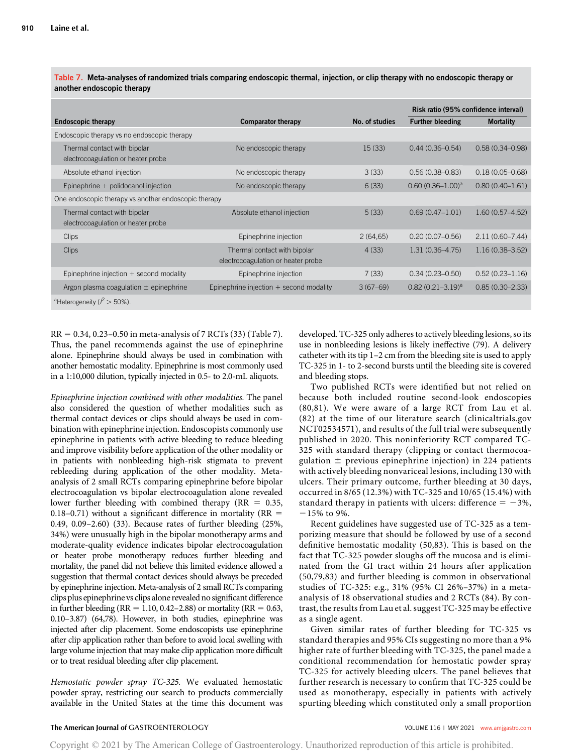|                                                                    |                                                                    |                | Risk ratio (95% confidence interval) |                     |
|--------------------------------------------------------------------|--------------------------------------------------------------------|----------------|--------------------------------------|---------------------|
| <b>Endoscopic therapy</b>                                          | <b>Comparator therapy</b>                                          | No. of studies | <b>Further bleeding</b>              | <b>Mortality</b>    |
| Endoscopic therapy vs no endoscopic therapy                        |                                                                    |                |                                      |                     |
| Thermal contact with bipolar<br>electrocoagulation or heater probe | No endoscopic therapy                                              | 15(33)         | $0.44(0.36 - 0.54)$                  | $0.58(0.34 - 0.98)$ |
| Absolute ethanol injection                                         | No endoscopic therapy                                              | 3(33)          | $0.56(0.38 - 0.83)$                  | $0.18(0.05 - 0.68)$ |
| Epinephrine + polidocanol injection                                | No endoscopic therapy                                              | 6(33)          | $0.60(0.36 - 1.00)^a$                | $0.80(0.40 - 1.61)$ |
| One endoscopic therapy vs another endoscopic therapy               |                                                                    |                |                                      |                     |
| Thermal contact with bipolar<br>electrocoagulation or heater probe | Absolute ethanol injection                                         | 5(33)          | $0.69(0.47-1.01)$                    | $1.60(0.57 - 4.52)$ |
| <b>Clips</b>                                                       | Epinephrine injection                                              | 2(64,65)       | $0.20(0.07 - 0.56)$                  | $2.11(0.60 - 7.44)$ |
| <b>Clips</b>                                                       | Thermal contact with bipolar<br>electrocoagulation or heater probe | 4(33)          | $1.31(0.36 - 4.75)$                  | $1.16(0.38 - 3.52)$ |
| Epinephrine injection $+$ second modality                          | Epinephrine injection                                              | 7(33)          | $0.34(0.23 - 0.50)$                  | $0.52(0.23 - 1.16)$ |
| Argon plasma coagulation $\pm$ epinephrine                         | Epinephrine injection $+$ second modality                          | $3(67-69)$     | $0.82(0.21 - 3.19)^a$                | $0.85(0.30 - 2.33)$ |
| $2\cdots$ $\cdots$ $\sqrt{2}$ $\cdots$                             |                                                                    |                |                                      |                     |

Table 7. Meta-analyses of randomized trials comparing endoscopic thermal, injection, or clip therapy with no endoscopic therapy or another endoscopic therapy

<sup>a</sup>Heterogeneity ( $\hat{f}$  > 50%).

 $RR = 0.34, 0.23 - 0.50$  in meta-analysis of 7 RCTs (33) (Table 7). Thus, the panel recommends against the use of epinephrine alone. Epinephrine should always be used in combination with another hemostatic modality. Epinephrine is most commonly used in a 1:10,000 dilution, typically injected in 0.5- to 2.0-mL aliquots.

Epinephrine injection combined with other modalities. The panel also considered the question of whether modalities such as thermal contact devices or clips should always be used in combination with epinephrine injection. Endoscopists commonly use epinephrine in patients with active bleeding to reduce bleeding and improve visibility before application of the other modality or in patients with nonbleeding high-risk stigmata to prevent rebleeding during application of the other modality. Metaanalysis of 2 small RCTs comparing epinephrine before bipolar electrocoagulation vs bipolar electrocoagulation alone revealed lower further bleeding with combined therapy ( $RR = 0.35$ , 0.18–0.71) without a significant difference in mortality ( $RR =$ 0.49, 0.09–2.60) (33). Because rates of further bleeding (25%, 34%) were unusually high in the bipolar monotherapy arms and moderate-quality evidence indicates bipolar electrocoagulation or heater probe monotherapy reduces further bleeding and mortality, the panel did not believe this limited evidence allowed a suggestion that thermal contact devices should always be preceded by epinephrine injection. Meta-analysis of 2 small RCTs comparing clips plus epinephrine vs clips alone revealed no significant difference in further bleeding (RR =  $1.10$ , 0.42–2.88) or mortality (RR = 0.63, 0.10–3.87) (64,78). However, in both studies, epinephrine was injected after clip placement. Some endoscopists use epinephrine after clip application rather than before to avoid local swelling with large volume injection that may make clip application more difficult or to treat residual bleeding after clip placement.

Hemostatic powder spray TC-325. We evaluated hemostatic powder spray, restricting our search to products commercially available in the United States at the time this document was developed. TC-325 only adheres to actively bleeding lesions, so its use in nonbleeding lesions is likely ineffective (79). A delivery catheter with its tip 1–2 cm from the bleeding site is used to apply TC-325 in 1- to 2-second bursts until the bleeding site is covered and bleeding stops.

Two published RCTs were identified but not relied on because both included routine second-look endoscopies (80,81). We were aware of a large RCT from Lau et al. (82) at the time of our literature search ([clinicaltrials.gov](http://clinicaltrials.gov) NCT02534571), and results of the full trial were subsequently published in 2020. This noninferiority RCT compared TC-325 with standard therapy (clipping or contact thermocoagulation  $\pm$  previous epinephrine injection) in 224 patients with actively bleeding nonvariceal lesions, including 130 with ulcers. Their primary outcome, further bleeding at 30 days, occurred in 8/65 (12.3%) with TC-325 and 10/65 (15.4%) with standard therapy in patients with ulcers: difference  $= -3\%$ ,  $-15\%$  to 9%.

Recent guidelines have suggested use of TC-325 as a temporizing measure that should be followed by use of a second definitive hemostatic modality (50,83). This is based on the fact that TC-325 powder sloughs off the mucosa and is eliminated from the GI tract within 24 hours after application (50,79,83) and further bleeding is common in observational studies of TC-325: e.g., 31% (95% CI 26%–37%) in a metaanalysis of 18 observational studies and 2 RCTs (84). By contrast, the results from Lau et al. suggest TC-325 may be effective as a single agent.

Given similar rates of further bleeding for TC-325 vs standard therapies and 95% CIs suggesting no more than a 9% higher rate of further bleeding with TC-325, the panel made a conditional recommendation for hemostatic powder spray TC-325 for actively bleeding ulcers. The panel believes that further research is necessary to confirm that TC-325 could be used as monotherapy, especially in patients with actively spurting bleeding which constituted only a small proportion

### The American Journal of GASTROENTEROLOGY **Annual American Journal of GASTROENTEROLOGY VOLUME 116** | MAY 2021 [www.amjgastro.com](http://www.amjgastro.com)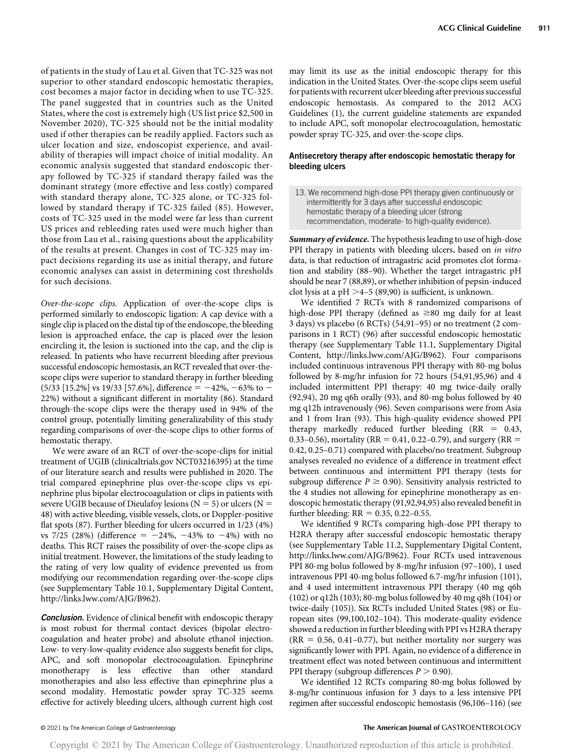of patients in the study of Lau et al. Given that TC-325 was not superior to other standard endoscopic hemostatic therapies, cost becomes a major factor in deciding when to use TC-325. The panel suggested that in countries such as the United States, where the cost is extremely high (US list price \$2,500 in November 2020), TC-325 should not be the initial modality used if other therapies can be readily applied. Factors such as ulcer location and size, endoscopist experience, and availability of therapies will impact choice of initial modality. An economic analysis suggested that standard endoscopic therapy followed by TC-325 if standard therapy failed was the dominant strategy (more effective and less costly) compared with standard therapy alone, TC-325 alone, or TC-325 followed by standard therapy if TC-325 failed (85). However, costs of TC-325 used in the model were far less than current US prices and rebleeding rates used were much higher than those from Lau et al., raising questions about the applicability of the results at present. Changes in cost of TC-325 may impact decisions regarding its use as initial therapy, and future economic analyses can assist in determining cost thresholds for such decisions.

Over-the-scope clips. Application of over-the-scope clips is performed similarly to endoscopic ligation: A cap device with a single clip is placed on the distal tip of the endoscope, the bleeding lesion is approached enface, the cap is placed over the lesion encircling it, the lesion is suctioned into the cap, and the clip is released. In patients who have recurrent bleeding after previous successful endoscopic hemostasis, an RCT revealed that over-thescope clips were superior to standard therapy in further bleeding  $(5/33$  [15.2%] vs 19/33 [57.6%], difference  $= -42\%$ ,  $-63\%$  to  $-$ 22%) without a significant different in mortality (86). Standard through-the-scope clips were the therapy used in 94% of the control group, potentially limiting generalizability of this study regarding comparisons of over-the-scope clips to other forms of hemostatic therapy.

We were aware of an RCT of over-the-scope-clips for initial treatment of UGIB [\(clinicaltrials.gov](http://clinicaltrials.gov) NCT03216395) at the time of our literature search and results were published in 2020. The trial compared epinephrine plus over-the-scope clips vs epinephrine plus bipolar electrocoagulation or clips in patients with severe UGIB because of Dieulafoy lesions ( $N = 5$ ) or ulcers ( $N = 5$ ) 48) with active bleeding, visible vessels, clots, or Doppler-positive flat spots (87). Further bleeding for ulcers occurred in 1/23 (4%) vs 7/25 (28%) (difference =  $-24\%$ ,  $-43\%$  to  $-4\%$ ) with no deaths. This RCT raises the possibility of over-the-scope clips as initial treatment. However, the limitations of the study leading to the rating of very low quality of evidence prevented us from modifying our recommendation regarding over-the-scope clips (see Supplementary Table 10.1, Supplementary Digital Content, <http://links.lww.com/AJG/B962>).

Conclusion. Evidence of clinical benefit with endoscopic therapy is most robust for thermal contact devices (bipolar electrocoagulation and heater probe) and absolute ethanol injection. Low- to very-low-quality evidence also suggests benefit for clips, APC, and soft monopolar electrocoagulation. Epinephrine monotherapy is less effective than other standard monotherapies and also less effective than epinephrine plus a second modality. Hemostatic powder spray TC-325 seems effective for actively bleeding ulcers, although current high cost may limit its use as the initial endoscopic therapy for this indication in the United States. Over-the-scope clips seem useful for patients with recurrent ulcer bleeding after previous successful endoscopic hemostasis. As compared to the 2012 ACG Guidelines (1), the current guideline statements are expanded to include APC, soft monopolar electrocoagulation, hemostatic powder spray TC-325, and over-the-scope clips.

# Antisecretory therapy after endoscopic hemostatic therapy for bleeding ulcers

13. We recommend high-dose PPI therapy given continuously or intermittently for 3 days after successful endoscopic hemostatic therapy of a bleeding ulcer (strong recommendation, moderate- to high-quality evidence).

Summary of evidence. The hypothesis leading to use of high-dose PPI therapy in patients with bleeding ulcers, based on in vitro data, is that reduction of intragastric acid promotes clot formation and stability (88–90). Whether the target intragastric pH should be near 7 (88,89), or whether inhibition of pepsin-induced clot lysis at a pH  $>4-5$  (89,90) is sufficient, is unknown.

We identified 7 RCTs with 8 randomized comparisons of high-dose PPI therapy (defined as  $\geq 80$  mg daily for at least 3 days) vs placebo (6 RCTs) (54,91–95) or no treatment (2 comparisons in 1 RCT) (96) after successful endoscopic hemostatic therapy (see Supplementary Table 11.1, Supplementary Digital Content,<http://links.lww.com/AJG/B962>). Four comparisons included continuous intravenous PPI therapy with 80-mg bolus followed by 8-mg/hr infusion for 72 hours (54,91,95,96) and 4 included intermittent PPI therapy: 40 mg twice-daily orally (92,94), 20 mg q6h orally (93), and 80-mg bolus followed by 40 mg q12h intravenously (96). Seven comparisons were from Asia and 1 from Iran (93). This high-quality evidence showed PPI therapy markedly reduced further bleeding  $(RR = 0.43,$ 0.33–0.56), mortality (RR = 0.41, 0.22–0.79), and surgery (RR = 0.42, 0.25–0.71) compared with placebo/no treatment. Subgroup analyses revealed no evidence of a difference in treatment effect between continuous and intermittent PPI therapy (tests for subgroup difference  $P \ge 0.90$ ). Sensitivity analysis restricted to the 4 studies not allowing for epinephrine monotherapy as endoscopic hemostatic therapy (91,92,94,95) also revealed benefit in further bleeding:  $RR = 0.35, 0.22-0.55$ .

We identified 9 RCTs comparing high-dose PPI therapy to H2RA therapy after successful endoscopic hemostatic therapy (see Supplementary Table 11.2, Supplementary Digital Content, <http://links.lww.com/AJG/B962>). Four RCTs used intravenous PPI 80-mg bolus followed by 8-mg/hr infusion (97–100), 1 used intravenous PPI 40-mg bolus followed 6.7-mg/hr infusion (101), and 4 used intermittent intravenous PPI therapy (40 mg q6h (102) or q12h (103); 80-mg bolus followed by 40 mg q8h (104) or twice-daily (105)). Six RCTs included United States (98) or European sites (99,100,102–104). This moderate-quality evidence showed a reduction in further bleeding with PPI vs H2RA therapy  $(RR = 0.56, 0.41 - 0.77)$ , but neither mortality nor surgery was significantly lower with PPI. Again, no evidence of a difference in treatment effect was noted between continuous and intermittent PPI therapy (subgroup differences  $P > 0.90$ ).

We identified 12 RCTs comparing 80-mg bolus followed by 8-mg/hr continuous infusion for 3 days to a less intensive PPI regimen after successful endoscopic hemostasis (96,106–116) (see

### © 2021 by The American College of Gastroenterology The American Journal of GASTROENTEROLOGY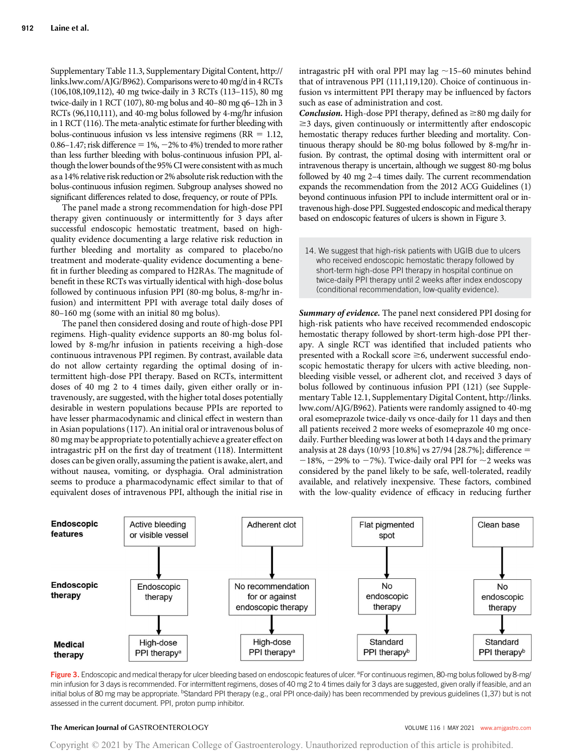Supplementary Table 11.3, Supplementary Digital Content, [http://](http://links.lww.com/AJG/B962) [links.lww.com/AJG/B962](http://links.lww.com/AJG/B962)). Comparisonswere to 40 mg/d in 4 RCTs (106,108,109,112), 40 mg twice-daily in 3 RCTs (113–115), 80 mg twice-daily in 1 RCT (107), 80-mg bolus and 40–80 mg q6–12h in 3 RCTs (96,110,111), and 40-mg bolus followed by 4-mg/hr infusion in 1 RCT (116). The meta-analytic estimate for further bleeding with bolus-continuous infusion vs less intensive regimens ( $RR = 1.12$ , 0.86–1.47; risk difference =  $1\%$ , -2% to 4%) trended to more rather than less further bleeding with bolus-continuous infusion PPI, although the lower bounds of the 95% CI were consistent with as much as a 14% relative risk reduction or 2% absolute risk reduction with the bolus-continuous infusion regimen. Subgroup analyses showed no significant differences related to dose, frequency, or route of PPIs.

The panel made a strong recommendation for high-dose PPI therapy given continuously or intermittently for 3 days after successful endoscopic hemostatic treatment, based on highquality evidence documenting a large relative risk reduction in further bleeding and mortality as compared to placebo/no treatment and moderate-quality evidence documenting a benefit in further bleeding as compared to H2RAs. The magnitude of benefit in these RCTs was virtually identical with high-dose bolus followed by continuous infusion PPI (80-mg bolus, 8-mg/hr infusion) and intermittent PPI with average total daily doses of 80–160 mg (some with an initial 80 mg bolus).

The panel then considered dosing and route of high-dose PPI regimens. High-quality evidence supports an 80-mg bolus followed by 8-mg/hr infusion in patients receiving a high-dose continuous intravenous PPI regimen. By contrast, available data do not allow certainty regarding the optimal dosing of intermittent high-dose PPI therapy. Based on RCTs, intermittent doses of 40 mg 2 to 4 times daily, given either orally or intravenously, are suggested, with the higher total doses potentially desirable in western populations because PPIs are reported to have lesser pharmacodynamic and clinical effect in western than in Asian populations (117). An initial oral or intravenous bolus of 80 mg may be appropriate to potentially achieve a greater effect on intragastric pH on the first day of treatment (118). Intermittent doses can be given orally, assuming the patient is awake, alert, and without nausea, vomiting, or dysphagia. Oral administration seems to produce a pharmacodynamic effect similar to that of equivalent doses of intravenous PPI, although the initial rise in

intragastric pH with oral PPI may lag  $\sim$ 15–60 minutes behind that of intravenous PPI (111,119,120). Choice of continuous infusion vs intermittent PPI therapy may be influenced by factors such as ease of administration and cost.

**Conclusion.** High-dose PPI therapy, defined as  $\geq 80$  mg daily for  $\geq$ 3 days, given continuously or intermittently after endoscopic hemostatic therapy reduces further bleeding and mortality. Continuous therapy should be 80-mg bolus followed by 8-mg/hr infusion. By contrast, the optimal dosing with intermittent oral or intravenous therapy is uncertain, although we suggest 80-mg bolus followed by 40 mg 2–4 times daily. The current recommendation expands the recommendation from the 2012 ACG Guidelines (1) beyond continuous infusion PPI to include intermittent oral or intravenous high-dose PPI. Suggested endoscopic and medical therapy based on endoscopic features of ulcers is shown in Figure 3.

14. We suggest that high-risk patients with UGIB due to ulcers who received endoscopic hemostatic therapy followed by short-term high-dose PPI therapy in hospital continue on twice-daily PPI therapy until 2 weeks after index endoscopy (conditional recommendation, low-quality evidence).

Summary of evidence. The panel next considered PPI dosing for high-risk patients who have received recommended endoscopic hemostatic therapy followed by short-term high-dose PPI therapy. A single RCT was identified that included patients who presented with a Rockall score  $\geq$ 6, underwent successful endoscopic hemostatic therapy for ulcers with active bleeding, nonbleeding visible vessel, or adherent clot, and received 3 days of bolus followed by continuous infusion PPI (121) (see Supplementary Table 12.1, Supplementary Digital Content, [http://links.](http://links.lww.com/AJG/B962) [lww.com/AJG/B962\)](http://links.lww.com/AJG/B962). Patients were randomly assigned to 40-mg oral esomeprazole twice-daily vs once-daily for 11 days and then all patients received 2 more weeks of esomeprazole 40 mg oncedaily. Further bleeding was lower at both 14 days and the primary analysis at 28 days (10/93 [10.8%] vs 27/94 [28.7%]; difference  $=$  $-18\%$ ,  $-29\%$  to  $-7\%$ ). Twice-daily oral PPI for  $\sim$ 2 weeks was considered by the panel likely to be safe, well-tolerated, readily available, and relatively inexpensive. These factors, combined with the low-quality evidence of efficacy in reducing further



Figure 3. Endoscopic and medical therapy for ulcer bleeding based on endoscopic features of ulcer. <sup>a</sup>For continuous regimen, 80-mg bolus followed by 8-mg/ min infusion for 3 days is recommended. For intermittent regimens, doses of 40 mg 2 to 4 times daily for 3 days are suggested, given orally if feasible, and an initial bolus of 80 mg may be appropriate. <sup>b</sup>Standard PPI therapy (e.g., oral PPI once-daily) has been recommended by previous guidelines (1,37) but is not assessed in the current document. PPI, proton pump inhibitor.

### The American Journal of GASTROENTEROLOGY **Annual American Journal of GASTROENTEROLOGY VOLUME 116** | MAY 2021 [www.amjgastro.com](http://www.amjgastro.com)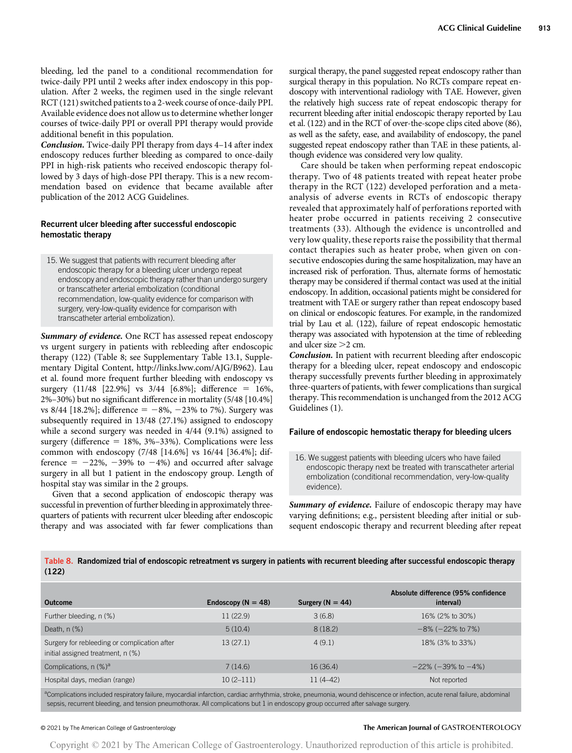bleeding, led the panel to a conditional recommendation for twice-daily PPI until 2 weeks after index endoscopy in this population. After 2 weeks, the regimen used in the single relevant RCT (121) switched patients to a 2-week course of once-daily PPI. Available evidence does not allow us to determine whether longer courses of twice-daily PPI or overall PPI therapy would provide additional benefit in this population.

Conclusion. Twice-daily PPI therapy from days 4–14 after index endoscopy reduces further bleeding as compared to once-daily PPI in high-risk patients who received endoscopic therapy followed by 3 days of high-dose PPI therapy. This is a new recommendation based on evidence that became available after publication of the 2012 ACG Guidelines.

# Recurrent ulcer bleeding after successful endoscopic hemostatic therapy

15. We suggest that patients with recurrent bleeding after endoscopic therapy for a bleeding ulcer undergo repeat endoscopy and endoscopic therapy rather than undergo surgery or transcatheter arterial embolization (conditional recommendation, low-quality evidence for comparison with surgery, very-low-quality evidence for comparison with transcatheter arterial embolization).

Summary of evidence. One RCT has assessed repeat endoscopy vs urgent surgery in patients with rebleeding after endoscopic therapy (122) (Table 8; see Supplementary Table 13.1, Supplementary Digital Content, [http://links.lww.com/AJG/B962\)](http://links.lww.com/AJG/B962). Lau et al. found more frequent further bleeding with endoscopy vs surgery  $(11/48 \t[22.9\%]$  vs  $3/44 \t[6.8\%]$ ; difference = 16%, 2%–30%) but no significant difference in mortality (5/48 [10.4%] vs 8/44 [18.2%]; difference =  $-8\%$ ,  $-23\%$  to 7%). Surgery was subsequently required in 13/48 (27.1%) assigned to endoscopy while a second surgery was needed in 4/44 (9.1%) assigned to surgery (difference  $= 18\%, 3\% - 33\%$ ). Complications were less common with endoscopy (7/48 [14.6%] vs 16/44 [36.4%]; difference =  $-22\%$ ,  $-39\%$  to  $-4\%$ ) and occurred after salvage surgery in all but 1 patient in the endoscopy group. Length of hospital stay was similar in the 2 groups.

Given that a second application of endoscopic therapy was successful in prevention of further bleeding in approximately threequarters of patients with recurrent ulcer bleeding after endoscopic therapy and was associated with far fewer complications than surgical therapy, the panel suggested repeat endoscopy rather than surgical therapy in this population. No RCTs compare repeat endoscopy with interventional radiology with TAE. However, given the relatively high success rate of repeat endoscopic therapy for recurrent bleeding after initial endoscopic therapy reported by Lau et al. (122) and in the RCT of over-the-scope clips cited above (86), as well as the safety, ease, and availability of endoscopy, the panel suggested repeat endoscopy rather than TAE in these patients, although evidence was considered very low quality.

Care should be taken when performing repeat endoscopic therapy. Two of 48 patients treated with repeat heater probe therapy in the RCT (122) developed perforation and a metaanalysis of adverse events in RCTs of endoscopic therapy revealed that approximately half of perforations reported with heater probe occurred in patients receiving 2 consecutive treatments (33). Although the evidence is uncontrolled and very low quality, these reports raise the possibility that thermal contact therapies such as heater probe, when given on consecutive endoscopies during the same hospitalization, may have an increased risk of perforation. Thus, alternate forms of hemostatic therapy may be considered if thermal contact was used at the initial endoscopy. In addition, occasional patients might be considered for treatment with TAE or surgery rather than repeat endoscopy based on clinical or endoscopic features. For example, in the randomized trial by Lau et al. (122), failure of repeat endoscopic hemostatic therapy was associated with hypotension at the time of rebleeding and ulcer size  $>2$  cm.

Conclusion. In patient with recurrent bleeding after endoscopic therapy for a bleeding ulcer, repeat endoscopy and endoscopic therapy successfully prevents further bleeding in approximately three-quarters of patients, with fewer complications than surgical therapy. This recommendation is unchanged from the 2012 ACG Guidelines (1).

### Failure of endoscopic hemostatic therapy for bleeding ulcers

16. We suggest patients with bleeding ulcers who have failed endoscopic therapy next be treated with transcatheter arterial embolization (conditional recommendation, very-low-quality evidence).

Summary of evidence. Failure of endoscopic therapy may have varying definitions; e.g., persistent bleeding after initial or subsequent endoscopic therapy and recurrent bleeding after repeat

## Table 8. Randomized trial of endoscopic retreatment vs surgery in patients with recurrent bleeding after successful endoscopic therapy (122)

| <b>Outcome</b>                                                                    | Endoscopy ( $N = 48$ ) | Surgery ( $N = 44$ ) | Absolute difference (95% confidence<br>interval) |
|-----------------------------------------------------------------------------------|------------------------|----------------------|--------------------------------------------------|
| Further bleeding, n (%)                                                           | 11 (22.9)              | 3(6.8)               | 16% (2% to 30%)                                  |
| Death, $n$ $%$ )                                                                  | 5(10.4)                | 8(18.2)              | $-8\%$ ( $-22\%$ to 7%)                          |
| Surgery for rebleeding or complication after<br>initial assigned treatment, n (%) | 13(27.1)               | 4(9.1)               | 18% (3% to 33%)                                  |
| Complications, $n$ (%) <sup>a</sup>                                               | 7(14.6)                | 16(36.4)             | $-22\%$ ( $-39\%$ to $-4\%$ )                    |
| Hospital days, median (range)                                                     | $10(2-111)$            | $11(4-42)$           | Not reported                                     |

aComplications included respiratory failure, myocardial infarction, cardiac arrhythmia, stroke, pneumonia, wound dehiscence or infection, acute renal failure, abdominal sepsis, recurrent bleeding, and tension pneumothorax. All complications but 1 in endoscopy group occurred after salvage surgery.

# © 2021 by The American College of Gastroenterology The American Journal of GASTROENTEROLOGY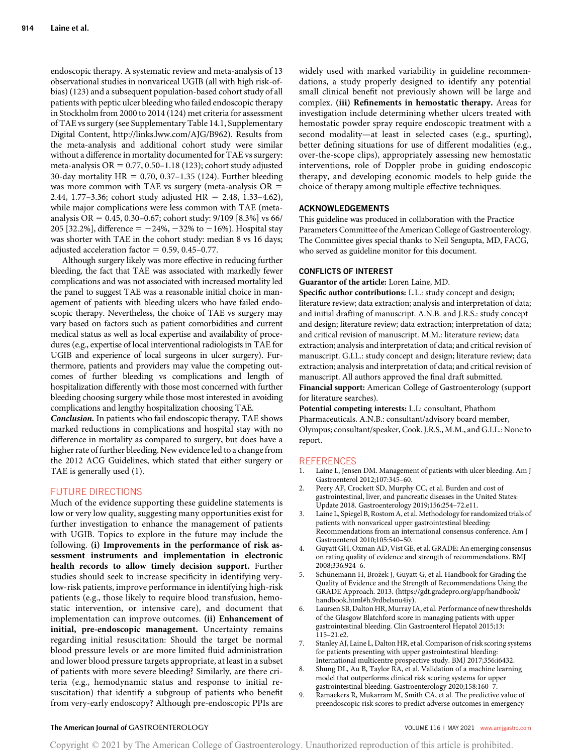endoscopic therapy. A systematic review and meta-analysis of 13 observational studies in nonvariceal UGIB (all with high risk-ofbias) (123) and a subsequent population-based cohort study of all patients with peptic ulcer bleeding who failed endoscopic therapy in Stockholm from 2000 to 2014 (124) met criteria for assessment of TAE vs surgery (see Supplementary Table 14.1, Supplementary Digital Content,<http://links.lww.com/AJG/B962>). Results from the meta-analysis and additional cohort study were similar without a difference in mortality documented for TAE vs surgery: meta-analysis OR =  $0.77$ ,  $0.50-1.18$  (123); cohort study adjusted 30-day mortality  $HR = 0.70$ , 0.37–1.35 (124). Further bleeding was more common with TAE vs surgery (meta-analysis  $OR =$ 2.44, 1.77–3.36; cohort study adjusted HR = 2.48, 1.33–4.62), while major complications were less common with TAE (metaanalysis OR =  $0.45$ , 0.30–0.67; cohort study: 9/109 [8.3%] vs 66/ 205 [32.2%], difference =  $-24\%$ ,  $-32\%$  to  $-16\%$ ). Hospital stay was shorter with TAE in the cohort study: median 8 vs 16 days; adjusted acceleration factor =  $0.59, 0.45$ –0.77.

Although surgery likely was more effective in reducing further bleeding, the fact that TAE was associated with markedly fewer complications and was not associated with increased mortality led the panel to suggest TAE was a reasonable initial choice in management of patients with bleeding ulcers who have failed endoscopic therapy. Nevertheless, the choice of TAE vs surgery may vary based on factors such as patient comorbidities and current medical status as well as local expertise and availability of procedures (e.g., expertise of local interventional radiologists in TAE for UGIB and experience of local surgeons in ulcer surgery). Furthermore, patients and providers may value the competing outcomes of further bleeding vs complications and length of hospitalization differently with those most concerned with further bleeding choosing surgery while those most interested in avoiding complications and lengthy hospitalization choosing TAE.

Conclusion. In patients who fail endoscopic therapy, TAE shows marked reductions in complications and hospital stay with no difference in mortality as compared to surgery, but does have a higher rate of further bleeding. New evidence led to a change from the 2012 ACG Guidelines, which stated that either surgery or TAE is generally used (1).

# FUTURE DIRECTIONS

Much of the evidence supporting these guideline statements is low or very low quality, suggesting many opportunities exist for further investigation to enhance the management of patients with UGIB. Topics to explore in the future may include the following. (i) Improvements in the performance of risk assessment instruments and implementation in electronic health records to allow timely decision support. Further studies should seek to increase specificity in identifying verylow-risk patients, improve performance in identifying high-risk patients (e.g., those likely to require blood transfusion, hemostatic intervention, or intensive care), and document that implementation can improve outcomes. (ii) Enhancement of initial, pre-endoscopic management. Uncertainty remains regarding initial resuscitation: Should the target be normal blood pressure levels or are more limited fluid administration and lower blood pressure targets appropriate, at least in a subset of patients with more severe bleeding? Similarly, are there criteria (e.g., hemodynamic status and response to initial resuscitation) that identify a subgroup of patients who benefit from very-early endoscopy? Although pre-endoscopic PPIs are

widely used with marked variability in guideline recommendations, a study properly designed to identify any potential small clinical benefit not previously shown will be large and complex. (iii) Refinements in hemostatic therapy. Areas for investigation include determining whether ulcers treated with hemostatic powder spray require endoscopic treatment with a second modality—at least in selected cases (e.g., spurting), better defining situations for use of different modalities (e.g., over-the-scope clips), appropriately assessing new hemostatic interventions, role of Doppler probe in guiding endoscopic therapy, and developing economic models to help guide the choice of therapy among multiple effective techniques.

## ACKNOWLEDGEMENTS

This guideline was produced in collaboration with the Practice Parameters Committee of the American College of Gastroenterology. The Committee gives special thanks to Neil Sengupta, MD, FACG, who served as guideline monitor for this document.

### CONFLICTS OF INTEREST

Guarantor of the article: Loren Laine, MD.

Specific author contributions: L.L.: study concept and design; literature review; data extraction; analysis and interpretation of data; and initial drafting of manuscript. A.N.B. and J.R.S.: study concept and design; literature review; data extraction; interpretation of data; and critical revision of manuscript. M.M.: literature review; data extraction; analysis and interpretation of data; and critical revision of manuscript. G.I.L.: study concept and design; literature review; data extraction; analysis and interpretation of data; and critical revision of manuscript. All authors approved the final draft submitted.

Financial support: American College of Gastroenterology (support for literature searches).

Potential competing interests: L.L: consultant, Phathom Pharmaceuticals. A.N.B.: consultant/advisory board member, Olympus; consultant/speaker, Cook. J.R.S., M.M., and G.I.L.: None to report.

### **REFERENCES**

- 1. Laine L, Jensen DM. Management of patients with ulcer bleeding. Am J Gastroenterol 2012;107:345–60.
- 2. Peery AF, Crockett SD, Murphy CC, et al. Burden and cost of gastrointestinal, liver, and pancreatic diseases in the United States: Update 2018. Gastroenterology 2019;156:254–72.e11.
- 3. Laine L, Spiegel B, Rostom A, et al. Methodology for randomized trials of patients with nonvariceal upper gastrointestinal bleeding: Recommendations from an international consensus conference. Am J Gastroenterol 2010;105:540–50.
- 4. Guyatt GH, Oxman AD, Vist GE, et al. GRADE: An emerging consensus on rating quality of evidence and strength of recommendations. BMJ 2008;336:924–6.
- Schünemann H, Brożek J, Guyatt G, et al. Handbook for Grading the Quality of Evidence and the Strength of Recommendations Using the GRADE Approach. 2013. [\(https://gdt.gradepro.org/app/handbook/](https://gdt.gradepro.org/app/handbook/handbook.html#h.9rdbelsnu4iy) [handbook.html#h.9rdbelsnu4iy\)](https://gdt.gradepro.org/app/handbook/handbook.html#h.9rdbelsnu4iy).
- Laursen SB, Dalton HR, Murray IA, et al. Performance of new thresholds of the Glasgow Blatchford score in managing patients with upper gastrointestinal bleeding. Clin Gastroenterol Hepatol 2015;13: 115–21.e2.
- 7. Stanley AJ, Laine L, Dalton HR, et al. Comparison of risk scoring systems for patients presenting with upper gastrointestinal bleeding: International multicentre prospective study. BMJ 2017;356:i6432.
- 8. Shung DL, Au B, Taylor RA, et al. Validation of a machine learning model that outperforms clinical risk scoring systems for upper gastrointestinal bleeding. Gastroenterology 2020;158:160–7.
- 9. Ramaekers R, Mukarram M, Smith CA, et al. The predictive value of preendoscopic risk scores to predict adverse outcomes in emergency

### The American Journal of GASTROENTEROLOGY **Annual American Journal of GASTROENTEROLOGY VOLUME 116** | MAY 2021 [www.amjgastro.com](http://www.amjgastro.com)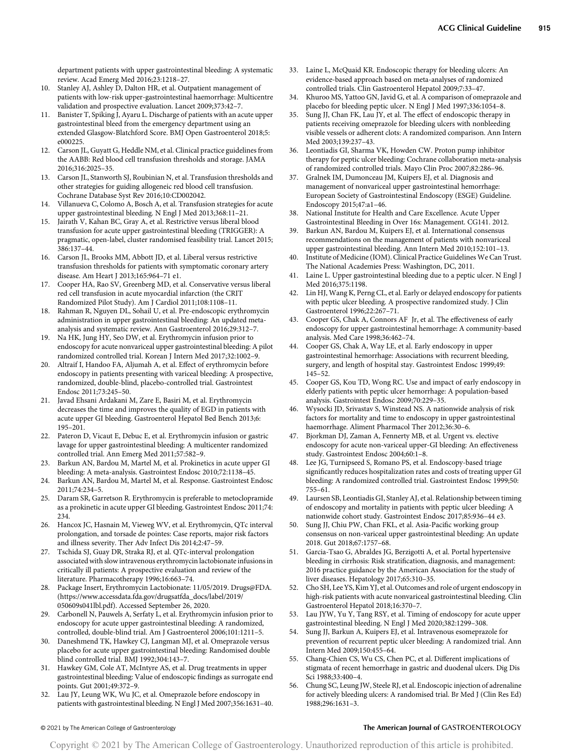department patients with upper gastrointestinal bleeding: A systematic review. Acad Emerg Med 2016;23:1218–27.

- 10. Stanley AJ, Ashley D, Dalton HR, et al. Outpatient management of patients with low-risk upper-gastrointestinal haemorrhage: Multicentre validation and prospective evaluation. Lancet 2009;373:42–7.
- 11. Banister T, Spiking J, Ayaru L. Discharge of patients with an acute upper gastrointestinal bleed from the emergency department using an extended Glasgow-Blatchford Score. BMJ Open Gastroenterol 2018;5: e000225.
- 12. Carson JL, Guyatt G, Heddle NM, et al. Clinical practice guidelines from the AABB: Red blood cell transfusion thresholds and storage. JAMA 2016;316:2025–35.
- 13. Carson JL, Stanworth SJ, Roubinian N, et al. Transfusion thresholds and other strategies for guiding allogeneic red blood cell transfusion. Cochrane Database Syst Rev 2016;10:CD002042.
- 14. Villanueva C, Colomo A, Bosch A, et al. Transfusion strategies for acute upper gastrointestinal bleeding. N Engl J Med 2013;368:11–21.
- 15. Jairath V, Kahan BC, Gray A, et al. Restrictive versus liberal blood transfusion for acute upper gastrointestinal bleeding (TRIGGER): A pragmatic, open-label, cluster randomised feasibility trial. Lancet 2015; 386:137–44.
- 16. Carson JL, Brooks MM, Abbott JD, et al. Liberal versus restrictive transfusion thresholds for patients with symptomatic coronary artery disease. Am Heart J 2013;165:964–71 e1.
- 17. Cooper HA, Rao SV, Greenberg MD, et al. Conservative versus liberal red cell transfusion in acute myocardial infarction (the CRIT Randomized Pilot Study). Am J Cardiol 2011;108:1108–11.
- 18. Rahman R, Nguyen DL, Sohail U, et al. Pre-endoscopic erythromycin administration in upper gastrointestinal bleeding: An updated metaanalysis and systematic review. Ann Gastroenterol 2016;29:312–7.
- 19. Na HK, Jung HY, Seo DW, et al. Erythromycin infusion prior to endoscopy for acute nonvariceal upper gastrointestinal bleeding: A pilot randomized controlled trial. Korean J Intern Med 2017;32:1002–9.
- 20. Altraif I, Handoo FA, Aljumah A, et al. Effect of erythromycin before endoscopy in patients presenting with variceal bleeding: A prospective, randomized, double-blind, placebo-controlled trial. Gastrointest Endosc 2011;73:245–50.
- 21. Javad Ehsani Ardakani M, Zare E, Basiri M, et al. Erythromycin decreases the time and improves the quality of EGD in patients with acute upper GI bleeding. Gastroenterol Hepatol Bed Bench 2013;6: 195–201.
- 22. Pateron D, Vicaut E, Debuc E, et al. Erythromycin infusion or gastric lavage for upper gastrointestinal bleeding: A multicenter randomized controlled trial. Ann Emerg Med 2011;57:582–9.
- 23. Barkun AN, Bardou M, Martel M, et al. Prokinetics in acute upper GI bleeding: A meta-analysis. Gastrointest Endosc 2010;72:1138–45.
- 24. Barkun AN, Bardou M, Martel M, et al. Response. Gastrointest Endosc 2011;74:234–5.
- 25. Daram SR, Garretson R. Erythromycin is preferable to metoclopramide as a prokinetic in acute upper GI bleeding. Gastrointest Endosc 2011;74: 234.
- 26. Hancox JC, Hasnain M, Vieweg WV, et al. Erythromycin, QTc interval prolongation, and torsade de pointes: Case reports, major risk factors and illness severity. Ther Adv Infect Dis 2014;2:47–59.
- 27. Tschida SJ, Guay DR, Straka RJ, et al. QTc-interval prolongation associated with slow intravenous erythromycin lactobionate infusions in critically ill patients: A prospective evaluation and review of the literature. Pharmacotherapy 1996;16:663–74.
- 28. Package Insert, Erythromycin Lactobionate: 11/05/2019. Drugs@FDA. [\(https://www.accessdata.fda.gov/drugsatfda\\_docs/label/2019/](https://www.accessdata.fda.gov/drugsatfda_docs/label/2019/050609s041lbl.pdf) [050609s041lbl.pdf](https://www.accessdata.fda.gov/drugsatfda_docs/label/2019/050609s041lbl.pdf)). Accessed September 26, 2020.
- 29. Carbonell N, Pauwels A, Serfaty L, et al. Erythromycin infusion prior to endoscopy for acute upper gastrointestinal bleeding: A randomized, controlled, double-blind trial. Am J Gastroenterol 2006;101:1211–5.
- 30. Daneshmend TK, Hawkey CJ, Langman MJ, et al. Omeprazole versus placebo for acute upper gastrointestinal bleeding: Randomised double blind controlled trial. BMJ 1992;304:143–7.
- 31. Hawkey GM, Cole AT, McIntyre AS, et al. Drug treatments in upper gastrointestinal bleeding: Value of endoscopic findings as surrogate end points. Gut 2001;49:372–9.
- Lau JY, Leung WK, Wu JC, et al. Omeprazole before endoscopy in patients with gastrointestinal bleeding. N Engl J Med 2007;356:1631–40.
- 33. Laine L, McQuaid KR. Endoscopic therapy for bleeding ulcers: An evidence-based approach based on meta-analyses of randomized controlled trials. Clin Gastroenterol Hepatol 2009;7:33–47.
- 34. Khuroo MS, Yattoo GN, Javid G, et al. A comparison of omeprazole and placebo for bleeding peptic ulcer. N Engl J Med 1997;336:1054–8.
- 35. Sung JJ, Chan FK, Lau JY, et al. The effect of endoscopic therapy in patients receiving omeprazole for bleeding ulcers with nonbleeding visible vessels or adherent clots: A randomized comparison. Ann Intern Med 2003;139:237–43.
- 36. Leontiadis GI, Sharma VK, Howden CW. Proton pump inhibitor therapy for peptic ulcer bleeding: Cochrane collaboration meta-analysis of randomized controlled trials. Mayo Clin Proc 2007;82:286–96.
- 37. Gralnek IM, Dumonceau JM, Kuipers EJ, et al. Diagnosis and management of nonvariceal upper gastrointestinal hemorrhage: European Society of Gastrointestinal Endoscopy (ESGE) Guideline. Endoscopy 2015;47:a1–46.
- National Institute for Health and Care Excellence. Acute Upper Gastrointestinal Bleeding in Over 16s: Management. CG141. 2012.
- 39. Barkun AN, Bardou M, Kuipers EJ, et al. International consensus recommendations on the management of patients with nonvariceal upper gastrointestinal bleeding. Ann Intern Med 2010;152:101–13.
- Institute of Medicine (IOM). Clinical Practice Guidelines We Can Trust. The National Academies Press: Washington, DC, 2011.
- Laine L. Upper gastrointestinal bleeding due to a peptic ulcer. N Engl J Med 2016;375:1198.
- Lin HJ, Wang K, Perng CL, et al. Early or delayed endoscopy for patients with peptic ulcer bleeding. A prospective randomized study. J Clin Gastroenterol 1996;22:267–71.
- 43. Cooper GS, Chak A, Connors AF Jr, et al. The effectiveness of early endoscopy for upper gastrointestinal hemorrhage: A community-based analysis. Med Care 1998;36:462–74.
- Cooper GS, Chak A, Way LE, et al. Early endoscopy in upper gastrointestinal hemorrhage: Associations with recurrent bleeding, surgery, and length of hospital stay. Gastrointest Endosc 1999;49: 145–52.
- 45. Cooper GS, Kou TD, Wong RC. Use and impact of early endoscopy in elderly patients with peptic ulcer hemorrhage: A population-based analysis. Gastrointest Endosc 2009;70:229–35.
- 46. Wysocki JD, Srivastav S, Winstead NS. A nationwide analysis of risk factors for mortality and time to endoscopy in upper gastrointestinal haemorrhage. Aliment Pharmacol Ther 2012;36:30–6.
- 47. Bjorkman DJ, Zaman A, Fennerty MB, et al. Urgent vs. elective endoscopy for acute non-variceal upper-GI bleeding: An effectiveness study. Gastrointest Endosc 2004;60:1–8.
- 48. Lee JG, Turnipseed S, Romano PS, et al. Endoscopy-based triage significantly reduces hospitalization rates and costs of treating upper GI bleeding: A randomized controlled trial. Gastrointest Endosc 1999;50: 755–61.
- 49. Laursen SB, Leontiadis GI, Stanley AJ, et al. Relationship between timing of endoscopy and mortality in patients with peptic ulcer bleeding: A nationwide cohort study. Gastrointest Endosc 2017;85:936–44 e3.
- Sung JJ, Chiu PW, Chan FKL, et al. Asia-Pacific working group consensus on non-variceal upper gastrointestinal bleeding: An update 2018. Gut 2018;67:1757–68.
- 51. Garcia-Tsao G, Abraldes JG, Berzigotti A, et al. Portal hypertensive bleeding in cirrhosis: Risk stratification, diagnosis, and management: 2016 practice guidance by the American Association for the study of liver diseases. Hepatology 2017;65:310–35.
- 52. Cho SH, Lee YS, Kim YJ, et al. Outcomes and role of urgent endoscopy in high-risk patients with acute nonvariceal gastrointestinal bleeding. Clin Gastroenterol Hepatol 2018;16:370–7.
- 53. Lau JYW, Yu Y, Tang RSY, et al. Timing of endoscopy for acute upper gastrointestinal bleeding. N Engl J Med 2020;382:1299–308.
- 54. Sung JJ, Barkun A, Kuipers EJ, et al. Intravenous esomeprazole for prevention of recurrent peptic ulcer bleeding: A randomized trial. Ann Intern Med 2009;150:455–64.
- 55. Chang-Chien CS, Wu CS, Chen PC, et al. Different implications of stigmata of recent hemorrhage in gastric and duodenal ulcers. Dig Dis Sci 1988;33:400–4.
- 56. Chung SC, Leung JW, Steele RJ, et al. Endoscopic injection of adrenaline for actively bleeding ulcers: A randomised trial. Br Med J (Clin Res Ed) 1988;296:1631–3.

### © 2021 by The American College of Gastroenterology The American Journal of GASTROENTEROLOGY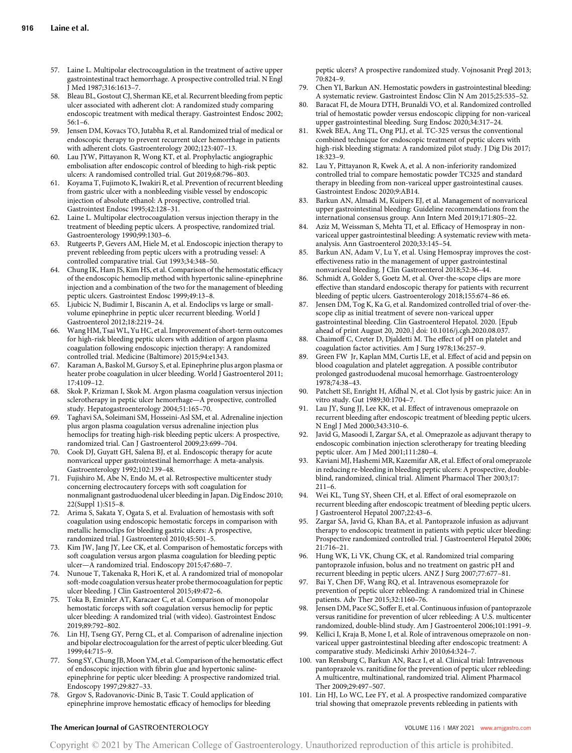- 57. Laine L. Multipolar electrocoagulation in the treatment of active upper gastrointestinal tract hemorrhage. A prospective controlled trial. N Engl J Med 1987;316:1613–7.
- 58. Bleau BL, Gostout CJ, Sherman KE, et al. Recurrent bleeding from peptic ulcer associated with adherent clot: A randomized study comparing endoscopic treatment with medical therapy. Gastrointest Endosc 2002; 56:1–6.
- 59. Jensen DM, Kovacs TO, Jutabha R, et al. Randomized trial of medical or endoscopic therapy to prevent recurrent ulcer hemorrhage in patients with adherent clots. Gastroenterology 2002;123:407–13.
- 60. Lau JYW, Pittayanon R, Wong KT, et al. Prophylactic angiographic embolisation after endoscopic control of bleeding to high-risk peptic ulcers: A randomised controlled trial. Gut 2019;68:796–803.
- 61. Koyama T, Fujimoto K, Iwakiri R, et al. Prevention of recurrent bleeding from gastric ulcer with a nonbleeding visible vessel by endoscopic injection of absolute ethanol: A prospective, controlled trial. Gastrointest Endosc 1995;42:128–31.
- 62. Laine L. Multipolar electrocoagulation versus injection therapy in the treatment of bleeding peptic ulcers. A prospective, randomized trial. Gastroenterology 1990;99:1303–6.
- 63. Rutgeerts P, Gevers AM, Hiele M, et al. Endoscopic injection therapy to prevent rebleeding from peptic ulcers with a protruding vessel: A controlled comparative trial. Gut 1993;34:348–50.
- 64. Chung IK, Ham JS, Kim HS, et al. Comparison of the hemostatic efficacy of the endoscopic hemoclip method with hypertonic saline-epinephrine injection and a combination of the two for the management of bleeding peptic ulcers. Gastrointest Endosc 1999;49:13–8.
- 65. Ljubicic N, Budimir I, Biscanin A, et al. Endoclips vs large or smallvolume epinephrine in peptic ulcer recurrent bleeding. World J Gastroenterol 2012;18:2219–24.
- Wang HM, Tsai WL, Yu HC, et al. Improvement of short-term outcomes for high-risk bleeding peptic ulcers with addition of argon plasma coagulation following endoscopic injection therapy: A randomized controlled trial. Medicine (Baltimore) 2015;94:e1343.
- 67. Karaman A, Baskol M, Gursoy S, et al. Epinephrine plus argon plasma or heater probe coagulation in ulcer bleeding. World J Gastroenterol 2011; 17:4109–12.
- 68. Skok P, Krizman I, Skok M. Argon plasma coagulation versus injection sclerotherapy in peptic ulcer hemorrhage—A prospective, controlled study. Hepatogastroenterology 2004;51:165–70.
- 69. Taghavi SA, Soleimani SM, Hosseini-Asl SM, et al. Adrenaline injection plus argon plasma coagulation versus adrenaline injection plus hemoclips for treating high-risk bleeding peptic ulcers: A prospective, randomized trial. Can J Gastroenterol 2009;23:699–704.
- 70. Cook DJ, Guyatt GH, Salena BJ, et al. Endoscopic therapy for acute nonvariceal upper gastrointestinal hemorrhage: A meta-analysis. Gastroenterology 1992;102:139–48.
- 71. Fujishiro M, Abe N, Endo M, et al. Retrospective multicenter study concerning electrocautery forceps with soft coagulation for nonmalignant gastroduodenal ulcer bleeding in Japan. Dig Endosc 2010; 22(Suppl 1):S15–8.
- 72. Arima S, Sakata Y, Ogata S, et al. Evaluation of hemostasis with soft coagulation using endoscopic hemostatic forceps in comparison with metallic hemoclips for bleeding gastric ulcers: A prospective, randomized trial. J Gastroenterol 2010;45:501–5.
- 73. Kim JW, Jang JY, Lee CK, et al. Comparison of hemostatic forceps with soft coagulation versus argon plasma coagulation for bleeding peptic ulcer—A randomized trial. Endoscopy 2015;47:680–7.
- 74. Nunoue T, Takenaka R, Hori K, et al. A randomized trial of monopolar soft-mode coagulation versus heater probe thermocoagulation for peptic ulcer bleeding. J Clin Gastroenterol 2015;49:472–6.
- 75. Toka B, Eminler AT, Karacaer C, et al. Comparison of monopolar hemostatic forceps with soft coagulation versus hemoclip for peptic ulcer bleeding: A randomized trial (with video). Gastrointest Endosc 2019;89:792–802.
- 76. Lin HJ, Tseng GY, Perng CL, et al. Comparison of adrenaline injection and bipolar electrocoagulation for the arrest of peptic ulcer bleeding. Gut 1999;44:715–9.
- 77. Song SY, Chung JB,Moon YM, et al. Comparison of the hemostatic effect of endoscopic injection with fibrin glue and hypertonic salineepinephrine for peptic ulcer bleeding: A prospective randomized trial. Endoscopy 1997;29:827–33.
- 78. Grgov S, Radovanovic-Dinic B, Tasic T. Could application of epinephrine improve hemostatic efficacy of hemoclips for bleeding

peptic ulcers? A prospective randomized study. Vojnosanit Pregl 2013; 70:824–9.

- 79. Chen YI, Barkun AN. Hemostatic powders in gastrointestinal bleeding: A systematic review. Gastrointest Endosc Clin N Am 2015;25:535–52.
- 80. Baracat FI, de Moura DTH, Brunaldi VO, et al. Randomized controlled trial of hemostatic powder versus endoscopic clipping for non-variceal upper gastrointestinal bleeding. Surg Endosc 2020;34:317–24.
- 81. Kwek BEA, Ang TL, Ong PLJ, et al. TC-325 versus the conventional combined technique for endoscopic treatment of peptic ulcers with high-risk bleeding stigmata: A randomized pilot study. J Dig Dis 2017; 18:323–9.
- 82. Lau Y, Pittayanon R, Kwek A, et al. A non-inferiority randomized controlled trial to compare hemostatic powder TC325 and standard therapy in bleeding from non-variceal upper gastrointestinal causes. Gastrointest Endosc 2020;9:AB14.
- 83. Barkun AN, Almadi M, Kuipers EJ, et al. Management of nonvariceal upper gastrointestinal bleeding: Guideline recommendations from the international consensus group. Ann Intern Med 2019;171:805–22.
- 84. Aziz M, Weissman S, Mehta TI, et al. Efficacy of Hemospray in nonvariceal upper gastrointestinal bleeding: A systematic review with metaanalysis. Ann Gastroenterol 2020;33:145–54.
- 85. Barkun AN, Adam V, Lu Y, et al. Using Hemospray improves the costeffectiveness ratio in the management of upper gastrointestinal nonvariceal bleeding. J Clin Gastroenterol 2018;52:36–44.
- 86. Schmidt A, Golder S, Goetz M, et al. Over-the-scope clips are more effective than standard endoscopic therapy for patients with recurrent bleeding of peptic ulcers. Gastroenterology 2018;155:674–86 e6.
- Jensen DM, Tog K, Ka G, et al. Randomized controlled trial of over-thescope clip as initial treatment of severe non-variceal upper gastrointestinal bleeding. Clin Gastroenterol Hepatol. 2020. [Epub ahead of print August 20, 2020.] doi: [10.1016/j.cgh.2020.08.037.](http://dx.doi.org/10.1016/j.cgh.2020.08.037)
- 88. Chaimoff C, Creter D, Djaldetti M. The effect of pH on platelet and coagulation factor activities. Am J Surg 1978;136:257–9.
- Green FW Jr, Kaplan MM, Curtis LE, et al. Effect of acid and pepsin on blood coagulation and platelet aggregation. A possible contributor prolonged gastroduodenal mucosal hemorrhage. Gastroenterology 1978;74:38–43.
- 90. Patchett SE, Enright H, Afdhal N, et al. Clot lysis by gastric juice: An in vitro study. Gut 1989;30:1704–7.
- Lau JY, Sung JJ, Lee KK, et al. Effect of intravenous omeprazole on recurrent bleeding after endoscopic treatment of bleeding peptic ulcers. N Engl J Med 2000;343:310–6.
- 92. Javid G, Masoodi I, Zargar SA, et al. Omeprazole as adjuvant therapy to endoscopic combination injection sclerotherapy for treating bleeding peptic ulcer. Am J Med 2001;111:280–4.
- 93. Kaviani MJ, Hashemi MR, Kazemifar AR, et al. Effect of oral omeprazole in reducing re-bleeding in bleeding peptic ulcers: A prospective, doubleblind, randomized, clinical trial. Aliment Pharmacol Ther 2003;17: 211–6.
- 94. Wei KL, Tung SY, Sheen CH, et al. Effect of oral esomeprazole on recurrent bleeding after endoscopic treatment of bleeding peptic ulcers. J Gastroenterol Hepatol 2007;22:43–6.
- 95. Zargar SA, Javid G, Khan BA, et al. Pantoprazole infusion as adjuvant therapy to endoscopic treatment in patients with peptic ulcer bleeding: Prospective randomized controlled trial. J Gastroenterol Hepatol 2006; 21:716–21.
- Hung WK, Li VK, Chung CK, et al. Randomized trial comparing pantoprazole infusion, bolus and no treatment on gastric pH and recurrent bleeding in peptic ulcers. ANZ J Surg 2007;77:677–81.
- 97. Bai Y, Chen DF, Wang RQ, et al. Intravenous esomeprazole for prevention of peptic ulcer rebleeding: A randomized trial in Chinese patients. Adv Ther 2015;32:1160–76.
- 98. Jensen DM, Pace SC, Soffer E, et al. Continuous infusion of pantoprazole versus ranitidine for prevention of ulcer rebleeding: A U.S. multicenter randomized, double-blind study. Am J Gastroenterol 2006;101:1991–9.
- 99. Kellici I, Kraja B, Mone I, et al. Role of intravenous omeprazole on nonvariceal upper gastrointestinal bleeding after endoscopic treatment: A comparative study. Medicinski Arhiv 2010;64:324–7.
- 100. van Rensburg C, Barkun AN, Racz I, et al. Clinical trial: Intravenous pantoprazole vs. ranitidine for the prevention of peptic ulcer rebleeding: A multicentre, multinational, randomized trial. Aliment Pharmacol Ther 2009;29:497–507.
- 101. Lin HJ, Lo WC, Lee FY, et al. A prospective randomized comparative trial showing that omeprazole prevents rebleeding in patients with

### The American Journal of GASTROENTEROLOGY **Annual American Journal of GASTROENTEROLOGY VOLUME 116** | MAY 2021 [www.amjgastro.com](http://www.amjgastro.com)